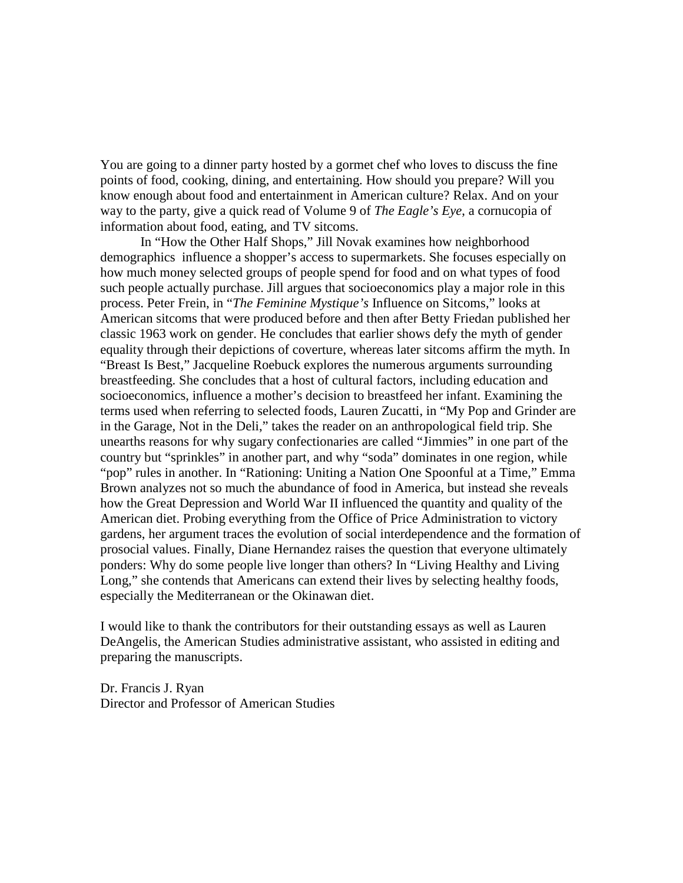You are going to a dinner party hosted by a gormet chef who loves to discuss the fine points of food, cooking, dining, and entertaining. How should you prepare? Will you know enough about food and entertainment in American culture? Relax. And on your way to the party, give a quick read of Volume 9 of *The Eagle's Eye*, a cornucopia of information about food, eating, and TV sitcoms.

In "How the Other Half Shops," Jill Novak examines how neighborhood demographics influence a shopper's access to supermarkets. She focuses especially on how much money selected groups of people spend for food and on what types of food such people actually purchase. Jill argues that socioeconomics play a major role in this process. Peter Frein, in "*The Feminine Mystique's* Influence on Sitcoms," looks at American sitcoms that were produced before and then after Betty Friedan published her classic 1963 work on gender. He concludes that earlier shows defy the myth of gender equality through their depictions of coverture, whereas later sitcoms affirm the myth. In "Breast Is Best," Jacqueline Roebuck explores the numerous arguments surrounding breastfeeding. She concludes that a host of cultural factors, including education and socioeconomics, influence a mother's decision to breastfeed her infant. Examining the terms used when referring to selected foods, Lauren Zucatti, in "My Pop and Grinder are in the Garage, Not in the Deli," takes the reader on an anthropological field trip. She unearths reasons for why sugary confectionaries are called "Jimmies" in one part of the country but "sprinkles" in another part, and why "soda" dominates in one region, while "pop" rules in another. In "Rationing: Uniting a Nation One Spoonful at a Time," Emma Brown analyzes not so much the abundance of food in America, but instead she reveals how the Great Depression and World War II influenced the quantity and quality of the American diet. Probing everything from the Office of Price Administration to victory gardens, her argument traces the evolution of social interdependence and the formation of prosocial values. Finally, Diane Hernandez raises the question that everyone ultimately ponders: Why do some people live longer than others? In "Living Healthy and Living Long," she contends that Americans can extend their lives by selecting healthy foods, especially the Mediterranean or the Okinawan diet.

I would like to thank the contributors for their outstanding essays as well as Lauren DeAngelis, the American Studies administrative assistant, who assisted in editing and preparing the manuscripts.

Dr. Francis J. Ryan Director and Professor of American Studies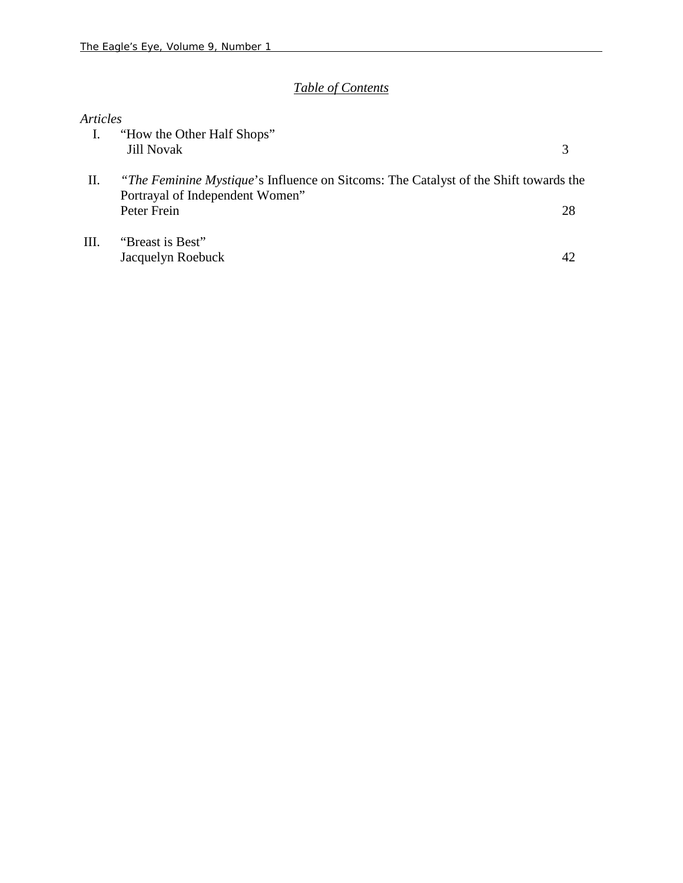# *Table of Contents*

## *Articles*

|     | "How the Other Half Shops"<br><b>Jill Novak</b>                                                                               |    |
|-----|-------------------------------------------------------------------------------------------------------------------------------|----|
| П.  | <i>The Feminine Mystique's</i> Influence on Sitcoms: The Catalyst of the Shift towards the<br>Portrayal of Independent Women" |    |
|     | Peter Frein                                                                                                                   | 28 |
| HI. | "Breast is Best"                                                                                                              |    |
|     | Jacquelyn Roebuck                                                                                                             |    |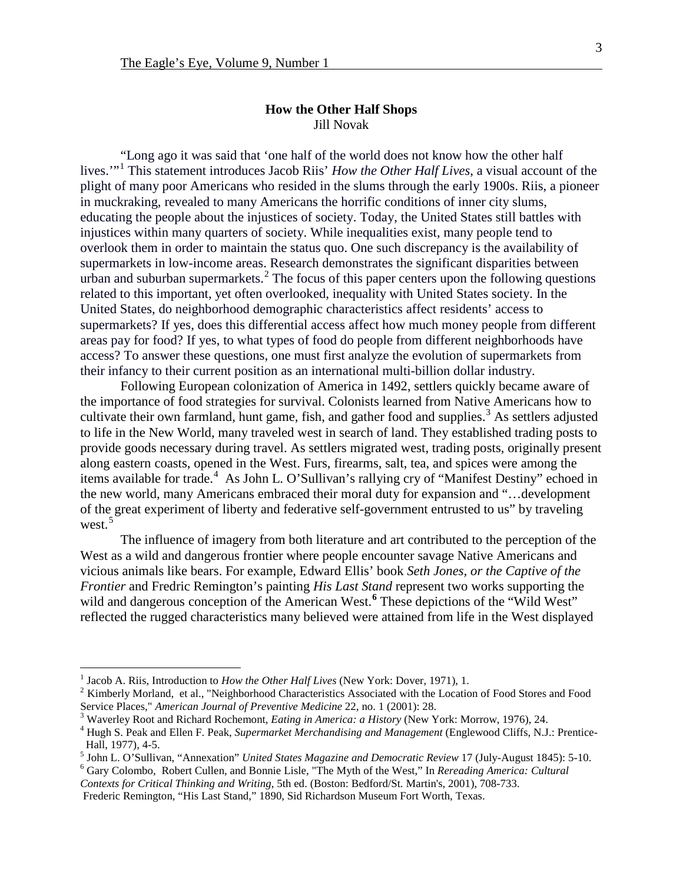"Long ago it was said that 'one half of the world does not know how the other half lives.'"[1](#page-3-0) This statement introduces Jacob Riis' *How the Other Half Lives*, a visual account of the plight of many poor Americans who resided in the slums through the early 1900s. Riis, a pioneer in muckraking, revealed to many Americans the horrific conditions of inner city slums, educating the people about the injustices of society. Today, the United States still battles with injustices within many quarters of society. While inequalities exist, many people tend to overlook them in order to maintain the status quo. One such discrepancy is the availability of supermarkets in low-income areas. Research demonstrates the significant disparities between urban and suburban supermarkets.<sup>[2](#page-3-1)</sup> The focus of this paper centers upon the following questions related to this important, yet often overlooked, inequality with United States society. In the United States, do neighborhood demographic characteristics affect residents' access to supermarkets? If yes, does this differential access affect how much money people from different areas pay for food? If yes, to what types of food do people from different neighborhoods have access? To answer these questions, one must first analyze the evolution of supermarkets from their infancy to their current position as an international multi-billion dollar industry.

Following European colonization of America in 1492, settlers quickly became aware of the importance of food strategies for survival. Colonists learned from Native Americans how to cultivate their own farmland, hunt game, fish, and gather food and supplies.<sup>[3](#page-3-2)</sup> As settlers adjusted to life in the New World, many traveled west in search of land. They established trading posts to provide goods necessary during travel. As settlers migrated west, trading posts, originally present along eastern coasts, opened in the West. Furs, firearms, salt, tea, and spices were among the items available for trade.<sup>[4](#page-3-3)</sup> As John L. O'Sullivan's rallying cry of "Manifest Destiny" echoed in the new world, many Americans embraced their moral duty for expansion and "…development of the great experiment of liberty and federative self-government entrusted to us" by traveling west $\frac{5}{5}$  $\frac{5}{5}$  $\frac{5}{5}$ 

The influence of imagery from both literature and art contributed to the perception of the West as a wild and dangerous frontier where people encounter savage Native Americans and vicious animals like bears. For example, Edward Ellis' book *Seth Jones, or the Captive of the Frontier* and Fredric Remington's painting *His Last Stand* represent two works supporting the wild and dangerous conception of the American West.<sup>[6](#page-3-5)</sup> These depictions of the "Wild West" reflected the rugged characteristics many believed were attained from life in the West displayed

<span id="page-3-1"></span><span id="page-3-0"></span><sup>&</sup>lt;sup>1</sup> Jacob A. Riis, Introduction to *How the Other Half Lives* (New York: Dover, 1971), 1.<br><sup>2</sup> Kimberly Morland, et al., "Neighborhood Characteristics Associated with the Location of Food Stores and Food Service Places," *A* 

<span id="page-3-3"></span><span id="page-3-2"></span><sup>&</sup>lt;sup>3</sup> Waverley Root and Richard Rochemont, *Eating in America: a History* (New York: Morrow, 1976), 24.<br><sup>4</sup> Hugh S. Peak and Ellen F. Peak, *Supermarket Merchandising and Management* (Englewood Cliffs, N.J.: Prentice-

<span id="page-3-4"></span>Hall, 1977), 4-5.<br><sup>5</sup> John L. O'Sullivan, "Annexation" *United States Magazine and Democratic Review* 17 (July-August 1845): 5-10.<br><sup>6</sup> Gary Colombo, Robert Cullen, and Bonnie Lisle, "The Myth of the West," In *Rereading Am* 

<span id="page-3-5"></span>*Contexts for Critical Thinking and Writing*, 5th ed. (Boston: Bedford/St. Martin's, 2001), 708-733.

Frederic Remington, "His Last Stand," 1890, Sid Richardson Museum Fort Worth, Texas.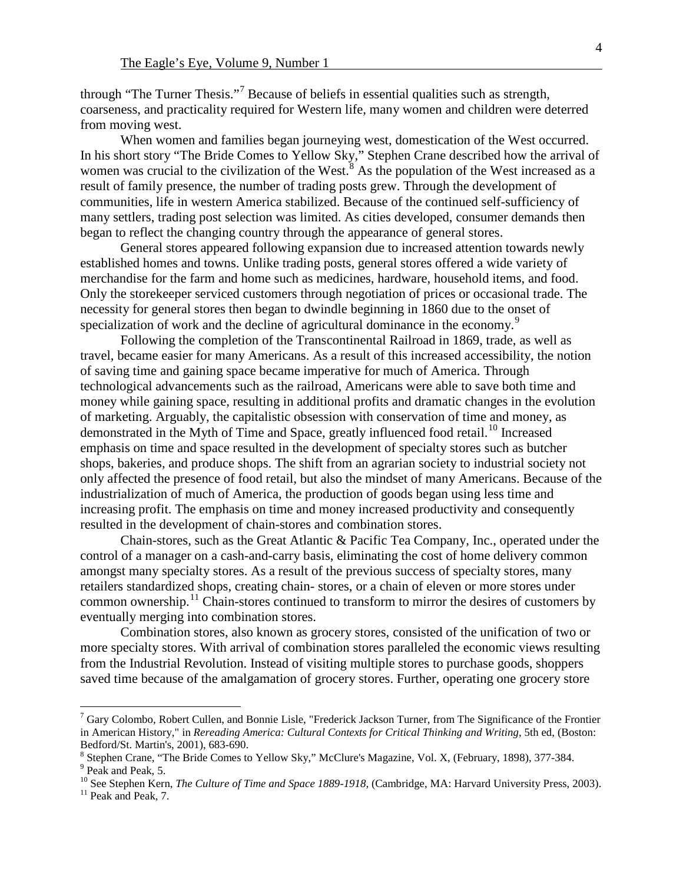through "The Turner Thesis."[7](#page-4-0) Because of beliefs in essential qualities such as strength, coarseness, and practicality required for Western life, many women and children were deterred from moving west.

When women and families began journeying west, domestication of the West occurred. In his short story "The Bride Comes to Yellow Sky," Stephen Crane described how the arrival of women was crucial to the civilization of the West.<sup>[8](#page-4-1)</sup> As the population of the West increased as a result of family presence, the number of trading posts grew. Through the development of communities, life in western America stabilized. Because of the continued self-sufficiency of many settlers, trading post selection was limited. As cities developed, consumer demands then began to reflect the changing country through the appearance of general stores.

General stores appeared following expansion due to increased attention towards newly established homes and towns. Unlike trading posts, general stores offered a wide variety of merchandise for the farm and home such as medicines, hardware, household items, and food. Only the storekeeper serviced customers through negotiation of prices or occasional trade. The necessity for general stores then began to dwindle beginning in 1860 due to the onset of specialization of work and the decline of agricultural dominance in the economy.<sup>[9](#page-4-2)</sup>

Following the completion of the Transcontinental Railroad in 1869, trade, as well as travel, became easier for many Americans. As a result of this increased accessibility, the notion of saving time and gaining space became imperative for much of America. Through technological advancements such as the railroad, Americans were able to save both time and money while gaining space, resulting in additional profits and dramatic changes in the evolution of marketing. Arguably, the capitalistic obsession with conservation of time and money, as demonstrated in the Myth of Time and Space, greatly influenced food retail.<sup>[10](#page-4-3)</sup> Increased emphasis on time and space resulted in the development of specialty stores such as butcher shops, bakeries, and produce shops. The shift from an agrarian society to industrial society not only affected the presence of food retail, but also the mindset of many Americans. Because of the industrialization of much of America, the production of goods began using less time and increasing profit. The emphasis on time and money increased productivity and consequently resulted in the development of chain-stores and combination stores.

Chain-stores, such as the Great Atlantic & Pacific Tea Company, Inc., operated under the control of a manager on a cash-and-carry basis, eliminating the cost of home delivery common amongst many specialty stores. As a result of the previous success of specialty stores, many retailers standardized shops, creating chain- stores, or a chain of eleven or more stores under common ownership.<sup>[11](#page-4-4)</sup> Chain-stores continued to transform to mirror the desires of customers by eventually merging into combination stores.

Combination stores, also known as grocery stores, consisted of the unification of two or more specialty stores. With arrival of combination stores paralleled the economic views resulting from the Industrial Revolution. Instead of visiting multiple stores to purchase goods, shoppers saved time because of the amalgamation of grocery stores. Further, operating one grocery store

<span id="page-4-0"></span> $^7$  Gary Colombo, Robert Cullen, and Bonnie Lisle, "Frederick Jackson Turner, from The Significance of the Frontier in American History," in *Rereading America: Cultural Contexts for Critical Thinking and Writing*, 5th ed, (Boston:

<span id="page-4-1"></span>Bedford/St. Martin's, 2001), 683-690.<br><sup>8</sup> Stephen Crane, "The Bride Comes to Yellow Sky," McClure's Magazine, Vol. X, (February, 1898), 377-384.<br><sup>9</sup> Peak and Peak, 5.<br><sup>10</sup> See Stephen Kern, *The Culture of Time and Space 1* 

<span id="page-4-3"></span><span id="page-4-2"></span>

<span id="page-4-4"></span>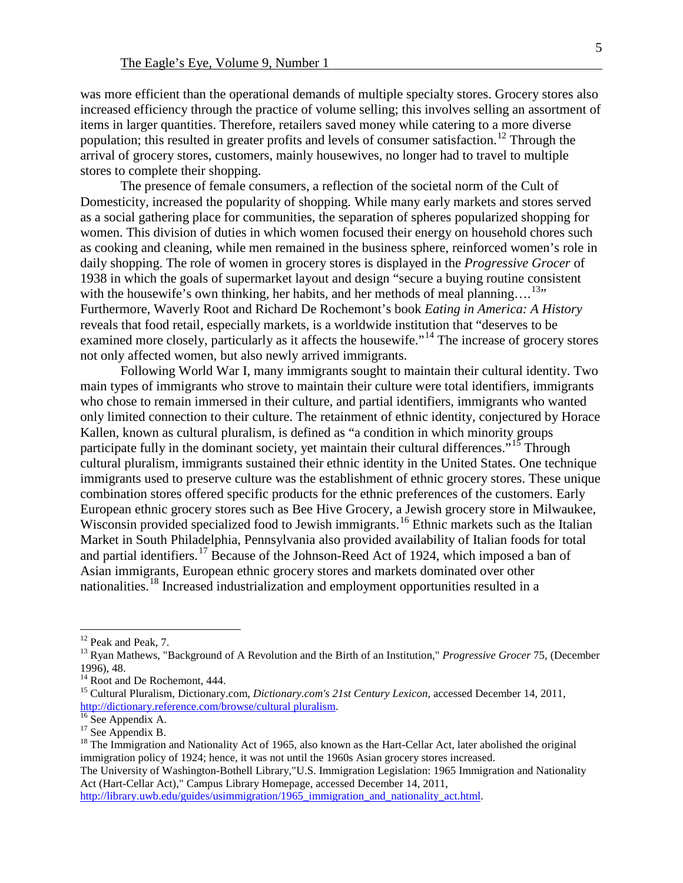was more efficient than the operational demands of multiple specialty stores. Grocery stores also increased efficiency through the practice of volume selling; this involves selling an assortment of items in larger quantities. Therefore, retailers saved money while catering to a more diverse population; this resulted in greater profits and levels of consumer satisfaction.<sup>[12](#page-5-0)</sup> Through the arrival of grocery stores, customers, mainly housewives, no longer had to travel to multiple stores to complete their shopping.

The presence of female consumers, a reflection of the societal norm of the Cult of Domesticity, increased the popularity of shopping. While many early markets and stores served as a social gathering place for communities, the separation of spheres popularized shopping for women. This division of duties in which women focused their energy on household chores such as cooking and cleaning, while men remained in the business sphere, reinforced women's role in daily shopping. The role of women in grocery stores is displayed in the *Progressive Grocer* of 1938 in which the goals of supermarket layout and design "secure a buying routine consistent with the housewife's own thinking, her habits, and her methods of meal planning....<sup>13</sup>" Furthermore, Waverly Root and Richard De Rochemont's book *Eating in America: A History* reveals that food retail, especially markets, is a worldwide institution that "deserves to be examined more closely, particularly as it affects the housewife."<sup>[14](#page-5-2)</sup> The increase of grocery stores not only affected women, but also newly arrived immigrants.

Following World War I, many immigrants sought to maintain their cultural identity. Two main types of immigrants who strove to maintain their culture were total identifiers, immigrants who chose to remain immersed in their culture, and partial identifiers, immigrants who wanted only limited connection to their culture. The retainment of ethnic identity, conjectured by Horace Kallen, known as cultural pluralism, is defined as "a condition in [which](http://dictionary.reference.com/browse/which) minority groups participate fully in the dominant society, yet maintain their cultural differences.<sup> $515$  $515$ </sup> Through cultural pluralism, immigrants sustained their ethnic identity in the United States. One technique immigrants used to preserve culture was the establishment of ethnic grocery stores. These unique combination stores offered specific products for the ethnic preferences of the customers. Early European ethnic grocery stores such as Bee Hive Grocery, a Jewish grocery store in Milwaukee, Wisconsin provided specialized food to Jewish immigrants.<sup>[16](#page-5-4)</sup> Ethnic markets such as the Italian Market in South Philadelphia, Pennsylvania also provided availability of Italian foods for total and partial identifiers.<sup>[17](#page-5-5)</sup> Because of the Johnson-Reed Act of 1924, which imposed a ban of Asian immigrants, European ethnic grocery stores and markets dominated over other nationalities. [18](#page-5-6) Increased industrialization and employment opportunities resulted in a

<span id="page-5-1"></span><span id="page-5-0"></span><sup>&</sup>lt;sup>12</sup> Peak and Peak, 7.<br><sup>13</sup> Ryan Mathews, "Background of A Revolution and the Birth of an Institution," *Progressive Grocer* 75, (December 1996). 48.

<span id="page-5-3"></span><span id="page-5-2"></span><sup>&</sup>lt;sup>14</sup> Root and De Rochemont, 444.<br><sup>15</sup> Cultural Pluralism, Dictionary.com, *Dictionary.com's 21st Century Lexicon*, accessed December 14, 2011,<br>http://dictionary.reference.com/browse/cultural pluralism.

<span id="page-5-6"></span><span id="page-5-5"></span>

<span id="page-5-4"></span><sup>&</sup>lt;sup>16</sup> See Appendix A. <sup>17</sup> See Appendix B. <sup>17</sup> See Appendix B. <sup>18</sup> The Immigration and Nationality Act of 1965, also known as the Hart-Cellar Act, later abolished the original <sup>18</sup> immigration policy of 1924; hence, it was not until the 1960s Asian grocery stores increased.

The University of Washington-Bothell Library,"U.S. Immigration Legislation: 1965 Immigration and Nationality Act (Hart-Cellar Act)," Campus Library Homepage, accessed December 14, 2011,

[http://library.uwb.edu/guides/usimmigration/1965\\_immigration\\_and\\_nationality\\_act.html.](http://library.uwb.edu/guides/usimmigration/1965_immigration_and_nationality_act.html)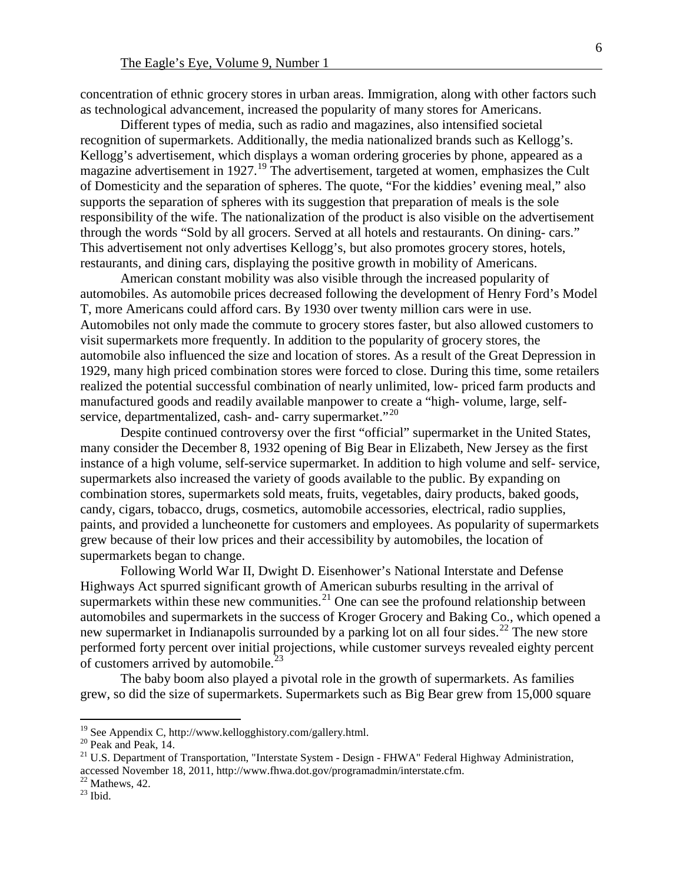concentration of ethnic grocery stores in urban areas. Immigration, along with other factors such as technological advancement, increased the popularity of many stores for Americans.

Different types of media, such as radio and magazines, also intensified societal recognition of supermarkets. Additionally, the media nationalized brands such as Kellogg's. Kellogg's advertisement, which displays a woman ordering groceries by phone, appeared as a magazine advertisement in [19](#page-6-0)27.<sup>19</sup> The advertisement, targeted at women, emphasizes the Cult of Domesticity and the separation of spheres. The quote, "For the kiddies' evening meal," also supports the separation of spheres with its suggestion that preparation of meals is the sole responsibility of the wife. The nationalization of the product is also visible on the advertisement through the words "Sold by all grocers. Served at all hotels and restaurants. On dining- cars." This advertisement not only advertises Kellogg's, but also promotes grocery stores, hotels, restaurants, and dining cars, displaying the positive growth in mobility of Americans.

American constant mobility was also visible through the increased popularity of automobiles. As automobile prices decreased following the development of Henry Ford's Model T, more Americans could afford cars. By 1930 over twenty million cars were in use. Automobiles not only made the commute to grocery stores faster, but also allowed customers to visit supermarkets more frequently. In addition to the popularity of grocery stores, the automobile also influenced the size and location of stores. As a result of the Great Depression in 1929, many high priced combination stores were forced to close. During this time, some retailers realized the potential successful combination of nearly unlimited, low- priced farm products and manufactured goods and readily available manpower to create a "high- volume, large, selfservice, departmentalized, cash- and- carry supermarket. $"^{20}$  $"^{20}$  $"^{20}$ 

Despite continued controversy over the first "official" supermarket in the United States, many consider the December 8, 1932 opening of Big Bear in Elizabeth, New Jersey as the first instance of a high volume, self-service supermarket. In addition to high volume and self- service, supermarkets also increased the variety of goods available to the public. By expanding on combination stores, supermarkets sold meats, fruits, vegetables, dairy products, baked goods, candy, cigars, tobacco, drugs, cosmetics, automobile accessories, electrical, radio supplies, paints, and provided a luncheonette for customers and employees. As popularity of supermarkets grew because of their low prices and their accessibility by automobiles, the location of supermarkets began to change.

Following World War II, Dwight D. Eisenhower's National Interstate and Defense Highways Act spurred significant growth of American suburbs resulting in the arrival of supermarkets within these new communities.<sup>[21](#page-6-2)</sup> One can see the profound relationship between automobiles and supermarkets in the success of Kroger Grocery and Baking Co., which opened a new supermarket in Indianapolis surrounded by a parking lot on all four sides.<sup>[22](#page-6-3)</sup> The new store performed forty percent over initial projections, while customer surveys revealed eighty percent of customers arrived by automobile.<sup>[23](#page-6-4)</sup>

The baby boom also played a pivotal role in the growth of supermarkets. As families grew, so did the size of supermarkets. Supermarkets such as Big Bear grew from 15,000 square

<span id="page-6-2"></span>

<span id="page-6-1"></span><span id="page-6-0"></span><sup>&</sup>lt;sup>19</sup> See Appendix C, http://www.kellogghistory.com/gallery.html.<br><sup>20</sup> Peak and Peak, 14. <br><sup>21</sup> U.S. Department of Transportation, "Interstate System - Design - FHWA" Federal Highway Administration, accessed November 18, 2011, http://www.fhwa.dot.gov/programadmin/interstate.cfm.<br>
<sup>22</sup> Mathews, 42.<br>
<sup>23</sup> Ibid.

<span id="page-6-4"></span><span id="page-6-3"></span>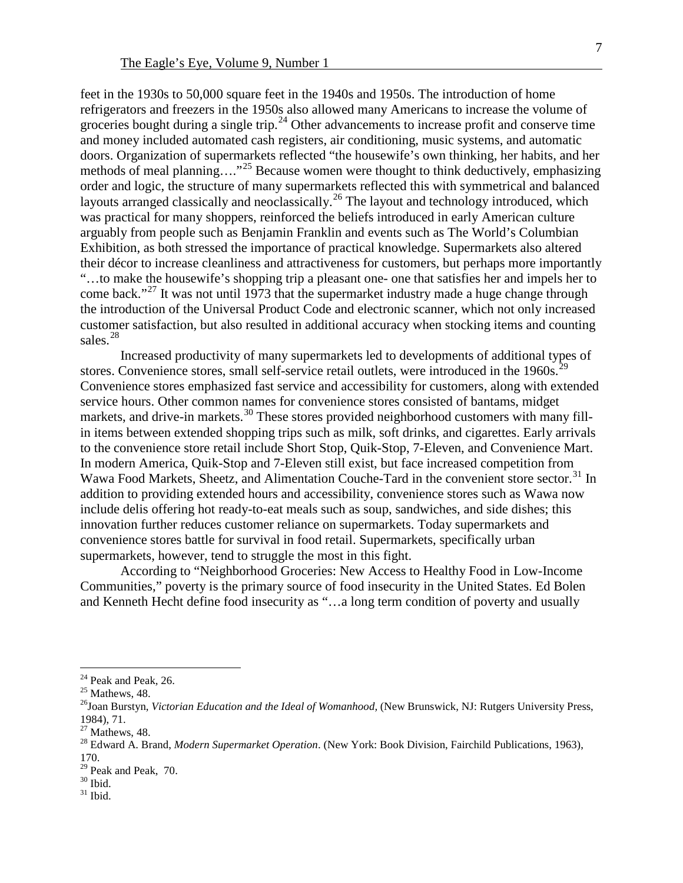feet in the 1930s to 50,000 square feet in the 1940s and 1950s. The introduction of home refrigerators and freezers in the 1950s also allowed many Americans to increase the volume of groceries bought during a single trip.<sup>[24](#page-7-0)</sup> Other advancements to increase profit and conserve time and money included automated cash registers, air conditioning, music systems, and automatic doors. Organization of supermarkets reflected "the housewife's own thinking, her habits, and her methods of meal planning…."[25](#page-7-1) Because women were thought to think deductively, emphasizing order and logic, the structure of many supermarkets reflected this with symmetrical and balanced layouts arranged classically and neoclassically.<sup>[26](#page-7-2)</sup> The layout and technology introduced, which was practical for many shoppers, reinforced the beliefs introduced in early American culture arguably from people such as Benjamin Franklin and events such as The World's Columbian Exhibition, as both stressed the importance of practical knowledge. Supermarkets also altered their décor to increase cleanliness and attractiveness for customers, but perhaps more importantly "…to make the housewife's shopping trip a pleasant one- one that satisfies her and impels her to come back."<sup>[27](#page-7-3)</sup> It was not until 1973 that the supermarket industry made a huge change through the introduction of the Universal Product Code and electronic scanner, which not only increased customer satisfaction, but also resulted in additional accuracy when stocking items and counting sales<sup>[28](#page-7-4)</sup>

Increased productivity of many supermarkets led to developments of additional types of stores. Convenience stores, small self-service retail outlets, were introduced in the 1960s.<sup>[29](#page-7-5)</sup> Convenience stores emphasized fast service and accessibility for customers, along with extended service hours. Other common names for convenience stores consisted of bantams, midget markets, and drive-in markets.<sup>[30](#page-7-6)</sup> These stores provided neighborhood customers with many fillin items between extended shopping trips such as milk, soft drinks, and cigarettes. Early arrivals to the convenience store retail include Short Stop, Quik-Stop, 7-Eleven, and Convenience Mart. In modern America, Quik-Stop and 7-Eleven still exist, but face increased competition from Wawa Food Markets, Sheetz, and Alimentation Couche-Tard in the convenient store sector.<sup>[31](#page-7-7)</sup> In addition to providing extended hours and accessibility, convenience stores such as Wawa now include delis offering hot ready-to-eat meals such as soup, sandwiches, and side dishes; this innovation further reduces customer reliance on supermarkets. Today supermarkets and convenience stores battle for survival in food retail. Supermarkets, specifically urban supermarkets, however, tend to struggle the most in this fight.

According to "Neighborhood Groceries: New Access to Healthy Food in Low-Income Communities," poverty is the primary source of food insecurity in the United States. Ed Bolen and Kenneth Hecht define food insecurity as "…a long term condition of poverty and usually

<span id="page-7-1"></span>

<span id="page-7-2"></span>

<span id="page-7-0"></span><sup>&</sup>lt;sup>24</sup> Peak and Peak, 26.<br><sup>25</sup> Mathews, 48.<br><sup>26</sup>Joan Burstyn, *Victorian Education and the Ideal of Womanhood*, (New Brunswick, NJ: Rutgers University Press, 1984), 71.<br><sup>27</sup> Mathews, 48.

<span id="page-7-4"></span><span id="page-7-3"></span><sup>&</sup>lt;sup>28</sup> Edward A. Brand, *Modern Supermarket Operation*. (New York: Book Division, Fairchild Publications, 1963), 170.

<span id="page-7-6"></span><span id="page-7-5"></span><sup>&</sup>lt;sup>29</sup> Peak and Peak, 70.<br><sup>30</sup> Ibid. <sup>31</sup> Ibid.

<span id="page-7-7"></span>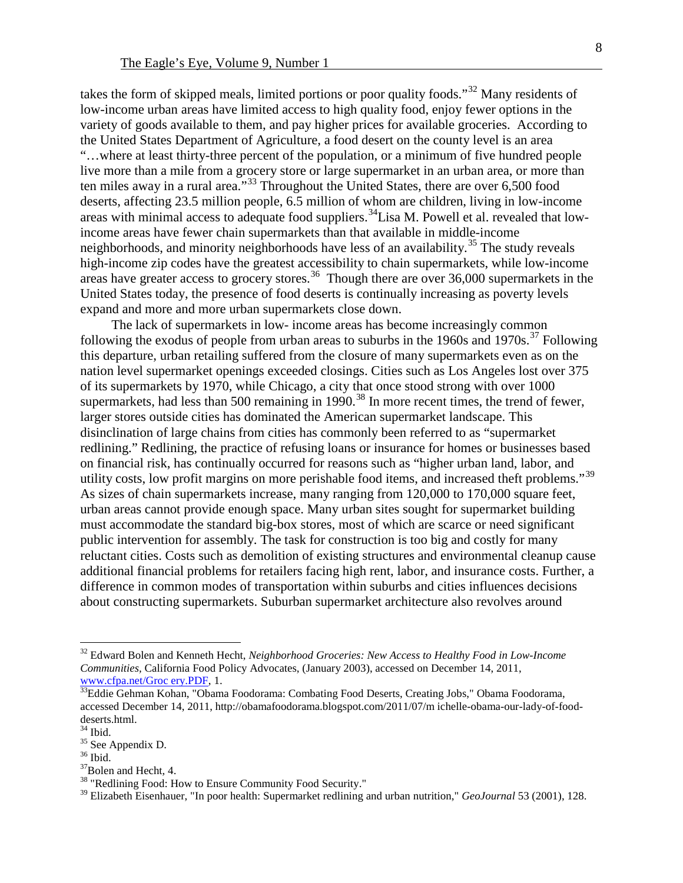takes the form of skipped meals, limited portions or poor quality foods."<sup>[32](#page-8-0)</sup> Many residents of low-income urban areas have limited access to high quality food, enjoy fewer options in the variety of goods available to them, and pay higher prices for available groceries. According to the United States Department of Agriculture, a food desert on the county level is an area "…where at least thirty-three percent of the population, or a minimum of five hundred people live more than a mile from a grocery store or large supermarket in an urban area, or more than ten miles away in a rural area."[33](#page-8-1) Throughout the United States, there are over 6,500 food deserts, affecting 23.5 million people, 6.5 million of whom are children, living in low-income areas with minimal access to adequate food suppliers.<sup>34</sup>Lisa M. Powell et al. revealed that lowincome areas have fewer chain supermarkets than that available in middle-income neighborhoods, and minority neighborhoods have less of an availability.<sup>[35](#page-8-3)</sup> The study reveals high-income zip codes have the greatest accessibility to chain supermarkets, while low-income areas have greater access to grocery stores.<sup>[36](#page-8-4)</sup> Though there are over 36,000 supermarkets in the United States today, the presence of food deserts is continually increasing as poverty levels expand and more and more urban supermarkets close down.

The lack of supermarkets in low- income areas has become increasingly common following the exodus of people from urban areas to suburbs in the 1960s and 1970s.<sup>[37](#page-8-5)</sup> Following this departure, urban retailing suffered from the closure of many supermarkets even as on the nation level supermarket openings exceeded closings. Cities such as Los Angeles lost over 375 of its supermarkets by 1970, while Chicago, a city that once stood strong with over 1000 supermarkets, had less than 500 remaining in 1990.<sup>[38](#page-8-6)</sup> In more recent times, the trend of fewer, larger stores outside cities has dominated the American supermarket landscape. This disinclination of large chains from cities has commonly been referred to as "supermarket redlining." Redlining, the practice of refusing loans or insurance for homes or businesses based on financial risk, has continually occurred for reasons such as "higher urban land, labor, and utility costs, low profit margins on more perishable food items, and increased theft problems."[39](#page-8-7) As sizes of chain supermarkets increase, many ranging from 120,000 to 170,000 square feet, urban areas cannot provide enough space. Many urban sites sought for supermarket building must accommodate the standard big-box stores, most of which are scarce or need significant public intervention for assembly. The task for construction is too big and costly for many reluctant cities. Costs such as demolition of existing structures and environmental cleanup cause additional financial problems for retailers facing high rent, labor, and insurance costs. Further, a difference in common modes of transportation within suburbs and cities influences decisions about constructing supermarkets. Suburban supermarket architecture also revolves around

<span id="page-8-0"></span> <sup>32</sup> Edward Bolen and Kenneth Hecht, *Neighborhood Groceries: New Access to Healthy Food in Low-Income Communities, California Food Policy Advocates, (January 2003), accessed on December 14, 2011, www.cfpa.net/Groc ery.PDF, 1.* 

<span id="page-8-1"></span><sup>&</sup>lt;sup>33</sup>Eddie Gehman Kohan, "Obama Foodorama: Combating Food Deserts, Creating Jobs," Obama Foodorama, accessed December 14, 2011, [http://obamafoodorama.blogspot.com/2011/07/m ichelle-obama-our-lady-of-f](http://obamafoodorama.blogspot.com/2011/07/michelle-obama-our-lady-of-)ooddeserts.html.<br><sup>34</sup> Ibid.

<span id="page-8-5"></span><span id="page-8-4"></span>

<span id="page-8-3"></span><span id="page-8-2"></span><sup>&</sup>lt;sup>35</sup> See Appendix D.<br><sup>36</sup> Ibid. <sup>37</sup>Bolen and Hecht, 4.<br><sup>38</sup> "Redlining Food: How to Ensure Community Food Security."

<span id="page-8-7"></span><span id="page-8-6"></span><sup>39</sup> Elizabeth Eisenhauer, "In poor health: Supermarket redlining and urban nutrition," *GeoJournal* 53 (2001), 128.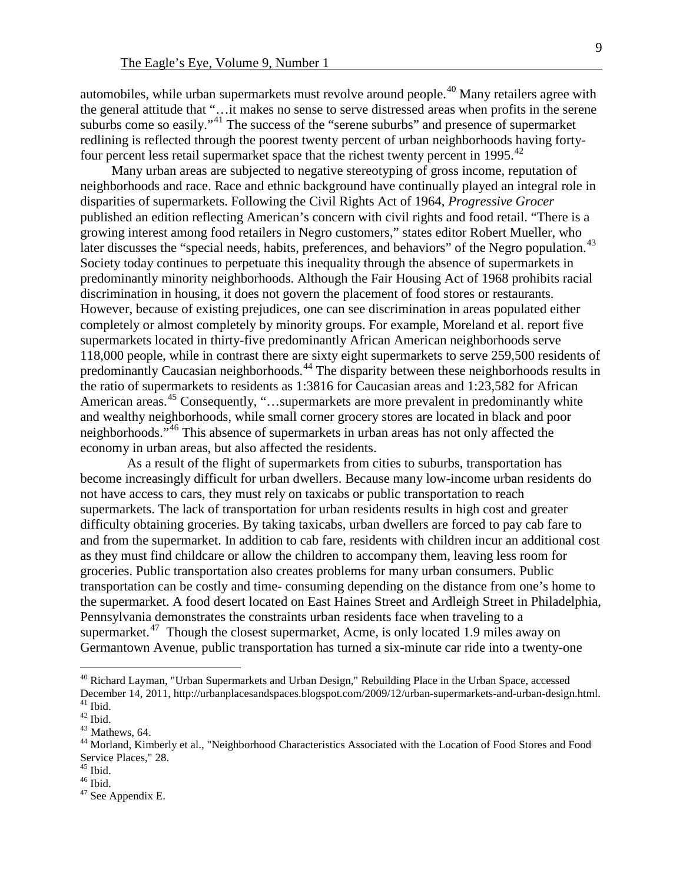automobiles, while urban supermarkets must revolve around people.<sup>[40](#page-9-0)</sup> Many retailers agree with the general attitude that "…it makes no sense to serve distressed areas when profits in the serene suburbs come so easily."<sup>[41](#page-9-1)</sup> The success of the "serene suburbs" and presence of supermarket redlining is reflected through the poorest twenty percent of urban neighborhoods having forty-four percent less retail supermarket space that the richest twenty percent in 1995.<sup>[42](#page-9-2)</sup>

Many urban areas are subjected to negative stereotyping of gross income, reputation of neighborhoods and race. Race and ethnic background have continually played an integral role in disparities of supermarkets. Following the Civil Rights Act of 1964, *Progressive Grocer* published an edition reflecting American's concern with civil rights and food retail. "There is a growing interest among food retailers in Negro customers," states editor Robert Mueller, who later discusses the "special needs, habits, preferences, and behaviors" of the Negro population.<sup>[43](#page-9-3)</sup> Society today continues to perpetuate this inequality through the absence of supermarkets in predominantly minority neighborhoods. Although the Fair Housing Act of 1968 prohibits racial discrimination in housing, it does not govern the placement of food stores or restaurants. However, because of existing prejudices, one can see discrimination in areas populated either completely or almost completely by minority groups. For example, Moreland et al. report five supermarkets located in thirty-five predominantly African American neighborhoods serve 118,000 people, while in contrast there are sixty eight supermarkets to serve 259,500 residents of predominantly Caucasian neighborhoods.[44](#page-9-4) The disparity between these neighborhoods results in the ratio of supermarkets to residents as 1:3816 for Caucasian areas and 1:23,582 for African American areas.<sup>[45](#page-9-5)</sup> Consequently, "...supermarkets are more prevalent in predominantly white and wealthy neighborhoods, while small corner grocery stores are located in black and poor neighborhoods.<sup>7[46](#page-9-6)</sup> This absence of supermarkets in urban areas has not only affected the economy in urban areas, but also affected the residents.

 As a result of the flight of supermarkets from cities to suburbs, transportation has become increasingly difficult for urban dwellers. Because many low-income urban residents do not have access to cars, they must rely on taxicabs or public transportation to reach supermarkets. The lack of transportation for urban residents results in high cost and greater difficulty obtaining groceries. By taking taxicabs, urban dwellers are forced to pay cab fare to and from the supermarket. In addition to cab fare, residents with children incur an additional cost as they must find childcare or allow the children to accompany them, leaving less room for groceries. Public transportation also creates problems for many urban consumers. Public transportation can be costly and time- consuming depending on the distance from one's home to the supermarket. A food desert located on East Haines Street and Ardleigh Street in Philadelphia, Pennsylvania demonstrates the constraints urban residents face when traveling to a supermarket.<sup>[47](#page-9-7)</sup> Though the closest supermarket, Acme, is only located 1.9 miles away on Germantown Avenue, public transportation has turned a six-minute car ride into a twenty-one

<span id="page-9-0"></span> $^{40}$  Richard Layman, "Urban Supermarkets and Urban Design," Rebuilding Place in the Urban Space, accessed<br>December 14, 2011, http://urbanplacesandspaces.blogspot.com/2009/12/urban-supermarkets-and-urban-design.html. <sup>41</sup> Ibid.<br><sup>42</sup> Ibid.<br><sup>43</sup> Mathews, 64.<br><sup>44</sup> Morland, Kimberly et al., "Neighborhood Characteristics Associated with the Location of Food Stores and Food

<span id="page-9-2"></span><span id="page-9-1"></span>

<span id="page-9-4"></span><span id="page-9-3"></span>Service Places," 28.<br><sup>45</sup> Ibid.

<span id="page-9-7"></span><span id="page-9-6"></span><span id="page-9-5"></span> $^{46}$  Ibid.<br> $^{47}$  See Appendix E.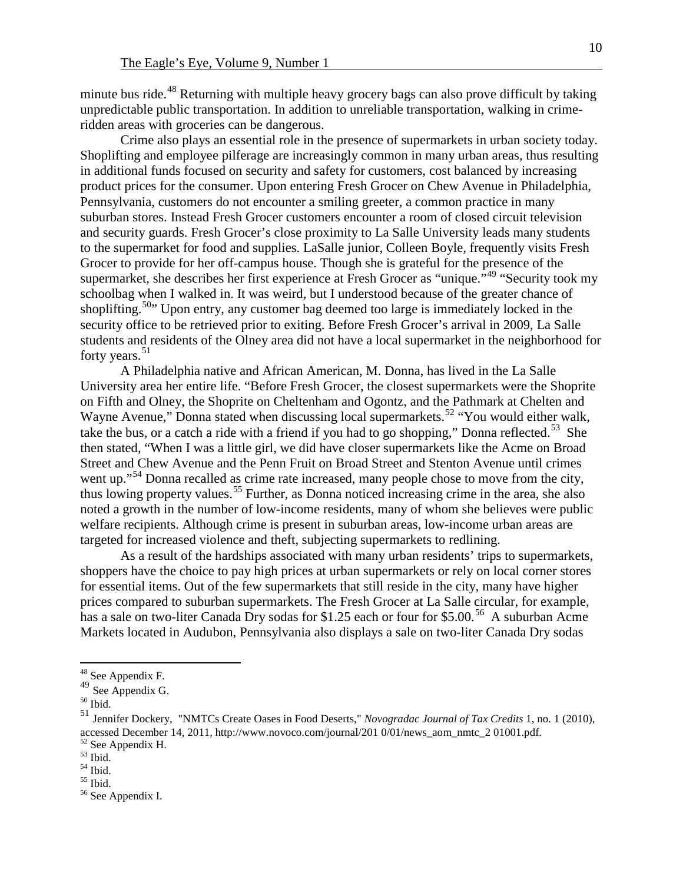minute bus ride.<sup>[48](#page-10-0)</sup> Returning with multiple heavy grocery bags can also prove difficult by taking unpredictable public transportation. In addition to unreliable transportation, walking in crimeridden areas with groceries can be dangerous.

Crime also plays an essential role in the presence of supermarkets in urban society today. Shoplifting and employee pilferage are increasingly common in many urban areas, thus resulting in additional funds focused on security and safety for customers, cost balanced by increasing product prices for the consumer. Upon entering Fresh Grocer on Chew Avenue in Philadelphia, Pennsylvania, customers do not encounter a smiling greeter, a common practice in many suburban stores. Instead Fresh Grocer customers encounter a room of closed circuit television and security guards. Fresh Grocer's close proximity to La Salle University leads many students to the supermarket for food and supplies. LaSalle junior, Colleen Boyle, frequently visits Fresh Grocer to provide for her off-campus house. Though she is grateful for the presence of the supermarket, she describes her first experience at Fresh Grocer as "unique.<sup>"[49](#page-10-1)</sup> "Security took my schoolbag when I walked in. It was weird, but I understood because of the greater chance of shoplifting.<sup>50</sup>" Upon entry, any customer bag deemed too large is immediately locked in the security office to be retrieved prior to exiting. Before Fresh Grocer's arrival in 2009, La Salle students and residents of the Olney area did not have a local supermarket in the neighborhood for forty years. $51$ 

A Philadelphia native and African American, M. Donna, has lived in the La Salle University area her entire life. "Before Fresh Grocer, the closest supermarkets were the Shoprite on Fifth and Olney, the Shoprite on Cheltenham and Ogontz, and the Pathmark at Chelten and Wayne Avenue," Donna stated when discussing local supermarkets.<sup>[52](#page-10-4)</sup> "You would either walk, take the bus, or a catch a ride with a friend if you had to go shopping," Donna reflected.<sup>[53](#page-10-5)</sup> She then stated, "When I was a little girl, we did have closer supermarkets like the Acme on Broad Street and Chew Avenue and the Penn Fruit on Broad Street and Stenton Avenue until crimes went up."<sup>[54](#page-10-6)</sup> Donna recalled as crime rate increased, many people chose to move from the city, thus lowing property values.[55](#page-10-7) Further, as Donna noticed increasing crime in the area, she also noted a growth in the number of low-income residents, many of whom she believes were public welfare recipients. Although crime is present in suburban areas, low-income urban areas are targeted for increased violence and theft, subjecting supermarkets to redlining.

As a result of the hardships associated with many urban residents' trips to supermarkets, shoppers have the choice to pay high prices at urban supermarkets or rely on local corner stores for essential items. Out of the few supermarkets that still reside in the city, many have higher prices compared to suburban supermarkets. The Fresh Grocer at La Salle circular, for example, has a sale on two-liter Canada Dry sodas for \$1.25 each or four for \$5.00.<sup>[56](#page-10-8)</sup> A suburban Acme Markets located in Audubon, Pennsylvania also displays a sale on two-liter Canada Dry sodas

<span id="page-10-1"></span><span id="page-10-0"></span><sup>&</sup>lt;sup>48</sup> See Appendix F.<br> $49$  See Appendix G.

<span id="page-10-2"></span> $^{50}$  Ibid.

<span id="page-10-3"></span><sup>51</sup> Jennifer Dockery, "NMTCs Create Oases in Food Deserts," *Novogradac Journal of Tax Credits* 1, no. 1 (2010), accessed December 14, 2011,<http://www.novoco.com/journal/201> 0/01/news\_aom\_nmtc\_2 01001.pdf.  $52$  See Appendix H.  $53$  Ibid.  $54$  Ibid.  $55$  Ibid.  $56$  See Appendix I.

<span id="page-10-4"></span>

<span id="page-10-6"></span><span id="page-10-5"></span>

<span id="page-10-8"></span><span id="page-10-7"></span>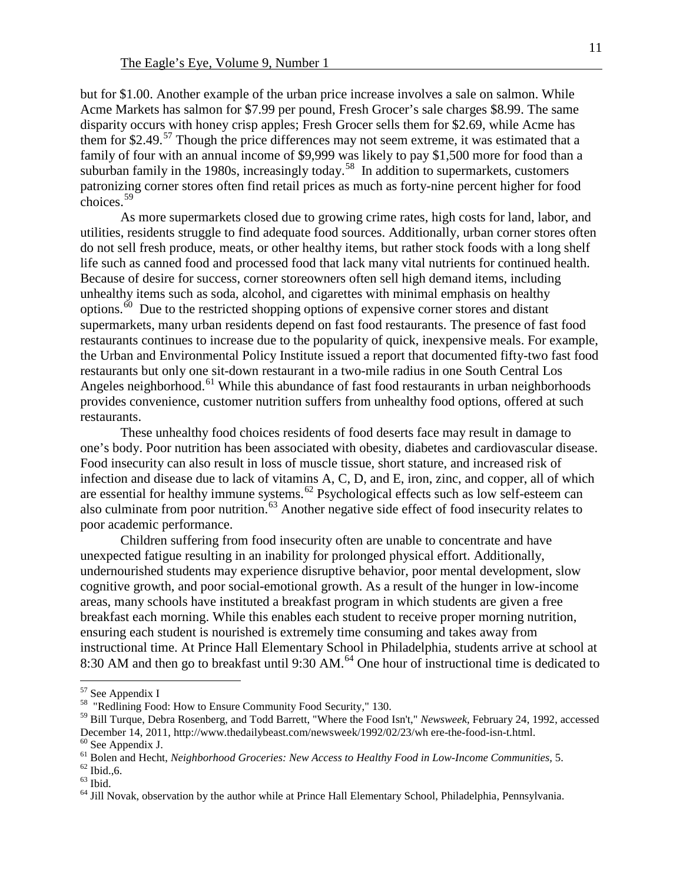but for \$1.00. Another example of the urban price increase involves a sale on salmon. While Acme Markets has salmon for \$7.99 per pound, Fresh Grocer's sale charges \$8.99. The same disparity occurs with honey crisp apples; Fresh Grocer sells them for \$2.69, while Acme has them for \$2.49.<sup>[57](#page-11-0)</sup> Though the price differences may not seem extreme, it was estimated that a family of four with an annual income of \$9,999 was likely to pay \$1,500 more for food than a suburban family in the 1980s, increasingly today.<sup>[58](#page-11-1)</sup> In addition to supermarkets, customers patronizing corner stores often find retail prices as much as forty-nine percent higher for food  $\frac{1}{2}$ choices.<sup>[59](#page-11-2)</sup>

As more supermarkets closed due to growing crime rates, high costs for land, labor, and utilities, residents struggle to find adequate food sources. Additionally, urban corner stores often do not sell fresh produce, meats, or other healthy items, but rather stock foods with a long shelf life such as canned food and processed food that lack many vital nutrients for continued health. Because of desire for success, corner storeowners often sell high demand items, including unhealthy items such as soda, alcohol, and cigarettes with minimal emphasis on healthy options.<sup>[60](#page-11-3)</sup> Due to the restricted shopping options of expensive corner stores and distant supermarkets, many urban residents depend on fast food restaurants. The presence of fast food restaurants continues to increase due to the popularity of quick, inexpensive meals. For example, the Urban and Environmental Policy Institute issued a report that documented fifty-two fast food restaurants but only one sit-down restaurant in a two-mile radius in one South Central Los Angeles neighborhood.<sup>[61](#page-11-4)</sup> While this abundance of fast food restaurants in urban neighborhoods provides convenience, customer nutrition suffers from unhealthy food options, offered at such restaurants.

These unhealthy food choices residents of food deserts face may result in damage to one's body. Poor nutrition has been associated with obesity, diabetes and cardiovascular disease. Food insecurity can also result in loss of muscle tissue, short stature, and increased risk of infection and disease due to lack of vitamins A, C, D, and E, iron, zinc, and copper, all of which are essential for healthy immune systems.<sup>[62](#page-11-5)</sup> Psychological effects such as low self-esteem can also culminate from poor nutrition.[63](#page-11-6) Another negative side effect of food insecurity relates to poor academic performance.

Children suffering from food insecurity often are unable to concentrate and have unexpected fatigue resulting in an inability for prolonged physical effort. Additionally, undernourished students may experience disruptive behavior, poor mental development, slow cognitive growth, and poor social-emotional growth. As a result of the hunger in low-income areas, many schools have instituted a breakfast program in which students are given a free breakfast each morning. While this enables each student to receive proper morning nutrition, ensuring each student is nourished is extremely time consuming and takes away from instructional time. At Prince Hall Elementary School in Philadelphia, students arrive at school at 8:30 AM and then go to breakfast until 9:30 AM.<sup>[64](#page-11-7)</sup> One hour of instructional time is dedicated to

<span id="page-11-1"></span><span id="page-11-0"></span> $57$  See Appendix I<br> $58$  "Redlining Food: How to Ensure Community Food Security," 130.

<span id="page-11-2"></span><sup>59</sup> Bill Turque, Debra Rosenberg, and Todd Barrett, "Where the Food Isn't," *Newsweek*, February 24, 1992, accessed December 14, 2011[, http://www.thedailybeast.com/newsweek/1992/02/23/wh ere-the-food-isn-t.html.](http://www.thedailybeast.com/newsweek/1992/02/23/wh%20ere-the-food-isn-t.html)<br>
<sup>60</sup> See Appendix J.<br>
<sup>61</sup> Bolen and Hecht, *Neighborhood Groceries: New Access to Healthy Food in Low-Income Communities*, 5

<span id="page-11-3"></span>

<span id="page-11-4"></span>

<span id="page-11-6"></span><span id="page-11-5"></span>

<span id="page-11-7"></span>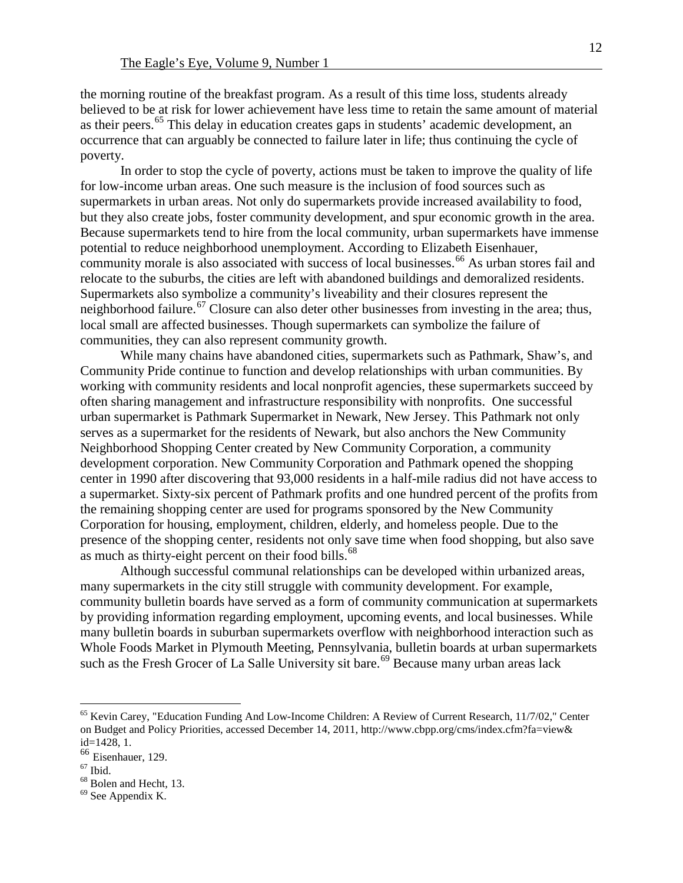the morning routine of the breakfast program. As a result of this time loss, students already believed to be at risk for lower achievement have less time to retain the same amount of material as their peers.<sup>[65](#page-12-0)</sup> This delay in education creates gaps in students' academic development, an occurrence that can arguably be connected to failure later in life; thus continuing the cycle of poverty.

In order to stop the cycle of poverty, actions must be taken to improve the quality of life for low-income urban areas. One such measure is the inclusion of food sources such as supermarkets in urban areas. Not only do supermarkets provide increased availability to food, but they also create jobs, foster community development, and spur economic growth in the area. Because supermarkets tend to hire from the local community, urban supermarkets have immense potential to reduce neighborhood unemployment. According to Elizabeth Eisenhauer, community morale is also associated with success of local businesses.<sup>[66](#page-12-1)</sup> As urban stores fail and relocate to the suburbs, the cities are left with abandoned buildings and demoralized residents. Supermarkets also symbolize a community's liveability and their closures represent the neighborhood failure.<sup>[67](#page-12-2)</sup> Closure can also deter other businesses from investing in the area; thus, local small are affected businesses. Though supermarkets can symbolize the failure of communities, they can also represent community growth.

While many chains have abandoned cities, supermarkets such as Pathmark, Shaw's, and Community Pride continue to function and develop relationships with urban communities. By working with community residents and local nonprofit agencies, these supermarkets succeed by often sharing management and infrastructure responsibility with nonprofits. One successful urban supermarket is Pathmark Supermarket in Newark, New Jersey. This Pathmark not only serves as a supermarket for the residents of Newark, but also anchors the New Community Neighborhood Shopping Center created by New Community Corporation, a community development corporation. New Community Corporation and Pathmark opened the shopping center in 1990 after discovering that 93,000 residents in a half-mile radius did not have access to a supermarket. Sixty-six percent of Pathmark profits and one hundred percent of the profits from the remaining shopping center are used for programs sponsored by the New Community Corporation for housing, employment, children, elderly, and homeless people. Due to the presence of the shopping center, residents not only save time when food shopping, but also save as much as thirty-eight percent on their food bills.<sup>[68](#page-12-3)</sup>

Although successful communal relationships can be developed within urbanized areas, many supermarkets in the city still struggle with community development. For example, community bulletin boards have served as a form of community communication at supermarkets by providing information regarding employment, upcoming events, and local businesses. While many bulletin boards in suburban supermarkets overflow with neighborhood interaction such as Whole Foods Market in Plymouth Meeting, Pennsylvania, bulletin boards at urban supermarkets such as the Fresh Grocer of La Salle University sit bare.<sup>[69](#page-12-4)</sup> Because many urban areas lack

<span id="page-12-0"></span><sup>&</sup>lt;sup>65</sup> Kevin Carey, "Education Funding And Low-Income Children: A Review of Current Research, 11/7/02," Center on Budget and Policy Priorities, accessed December 14, 2011[, http://www.cbpp.org/cms/index.cfm?fa=view&](http://www.cbpp.org/cms/index.cfm?fa=view&) id=1428, 1.

<span id="page-12-1"></span> $\frac{66}{67}$  Eisenhauer, 129.

<span id="page-12-2"></span>

<span id="page-12-4"></span><span id="page-12-3"></span><sup>&</sup>lt;sup>68</sup> Bolen and Hecht, 13.<br><sup>69</sup> See Appendix K.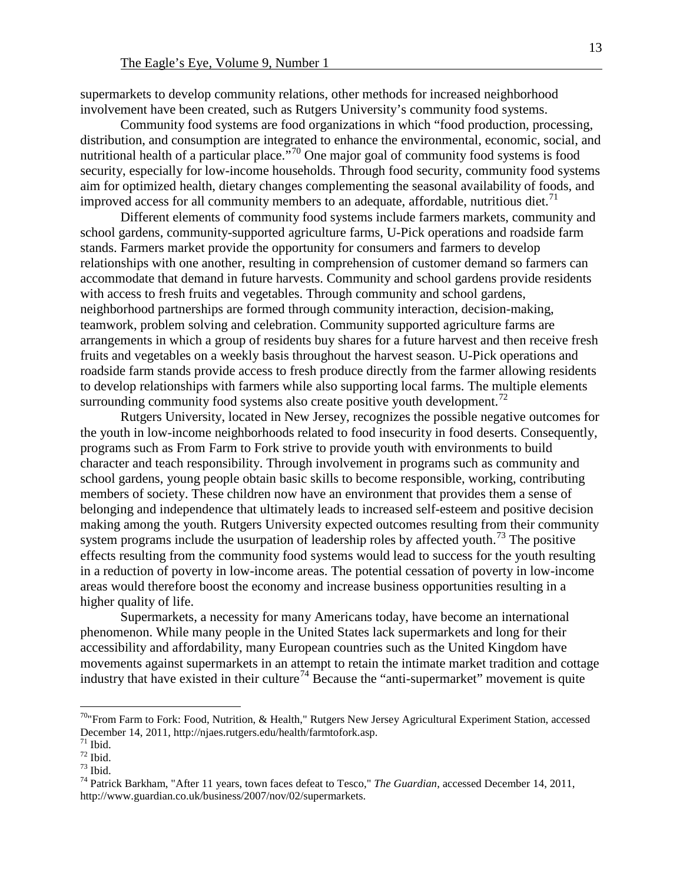supermarkets to develop community relations, other methods for increased neighborhood involvement have been created, such as Rutgers University's community food systems.

Community food systems are food organizations in which "food production, processing, distribution, and consumption are integrated to enhance the environmental, economic, social, and nutritional health of a particular place.<sup> $570$  $570$ </sup> One major goal of community food systems is food security, especially for low-income households. Through food security, community food systems aim for optimized health, dietary changes complementing the seasonal availability of foods, and improved access for all community members to an adequate, affordable, nutritious diet.<sup>[71](#page-13-1)</sup>

Different elements of community food systems include farmers markets, community and school gardens, community-supported agriculture farms, U-Pick operations and roadside farm stands. Farmers market provide the opportunity for consumers and farmers to develop relationships with one another, resulting in comprehension of customer demand so farmers can accommodate that demand in future harvests. Community and school gardens provide residents with access to fresh fruits and vegetables. Through community and school gardens, neighborhood partnerships are formed through community interaction, decision-making, teamwork, problem solving and celebration. Community supported agriculture farms are arrangements in which a group of residents buy shares for a future harvest and then receive fresh fruits and vegetables on a weekly basis throughout the harvest season. U-Pick operations and roadside farm stands provide access to fresh produce directly from the farmer allowing residents to develop relationships with farmers while also supporting local farms. The multiple elements surrounding community food systems also create positive youth development.<sup> $12$ </sup>

Rutgers University, located in New Jersey, recognizes the possible negative outcomes for the youth in low-income neighborhoods related to food insecurity in food deserts. Consequently, programs such as From Farm to Fork strive to provide youth with environments to build character and teach responsibility. Through involvement in programs such as community and school gardens, young people obtain basic skills to become responsible, working, contributing members of society. These children now have an environment that provides them a sense of belonging and independence that ultimately leads to increased self-esteem and positive decision making among the youth. Rutgers University expected outcomes resulting from their community system programs include the usurpation of leadership roles by affected youth.<sup>[73](#page-13-3)</sup> The positive effects resulting from the community food systems would lead to success for the youth resulting in a reduction of poverty in low-income areas. The potential cessation of poverty in low-income areas would therefore boost the economy and increase business opportunities resulting in a higher quality of life.

Supermarkets, a necessity for many Americans today, have become an international phenomenon. While many people in the United States lack supermarkets and long for their accessibility and affordability, many European countries such as the United Kingdom have movements against supermarkets in an attempt to retain the intimate market tradition and cottage industry that have existed in their culture<sup>[74](#page-13-4)</sup> Because the "anti-supermarket" movement is quite

<span id="page-13-0"></span><sup>&</sup>lt;sup>70</sup>"From Farm to Fork: Food, Nutrition, & Health," Rutgers New Jersey Agricultural Experiment Station, accessed December 14, 2011, http://njaes.rutgers.edu/health/farmtofork.asp.<br>
<sup>71</sup> Ibid.<br>
<sup>73</sup> Ibid.<br>
<sup>74</sup> Patrick Barkham, "After 11 years, town faces defeat to Tesco," *The Guardian*, accessed December 14, 2011,

<span id="page-13-1"></span>

<span id="page-13-2"></span>

<span id="page-13-3"></span>

<span id="page-13-4"></span>http://www.guardian.co.uk/business/2007/nov/02/supermarkets.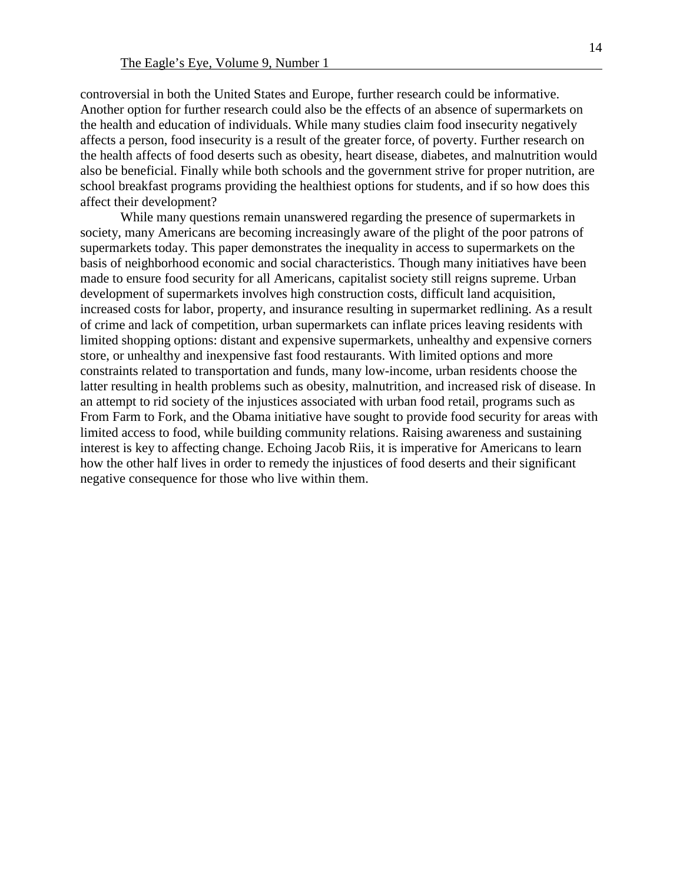controversial in both the United States and Europe, further research could be informative. Another option for further research could also be the effects of an absence of supermarkets on the health and education of individuals. While many studies claim food insecurity negatively affects a person, food insecurity is a result of the greater force, of poverty. Further research on the health affects of food deserts such as obesity, heart disease, diabetes, and malnutrition would also be beneficial. Finally while both schools and the government strive for proper nutrition, are school breakfast programs providing the healthiest options for students, and if so how does this affect their development?

While many questions remain unanswered regarding the presence of supermarkets in society, many Americans are becoming increasingly aware of the plight of the poor patrons of supermarkets today. This paper demonstrates the inequality in access to supermarkets on the basis of neighborhood economic and social characteristics. Though many initiatives have been made to ensure food security for all Americans, capitalist society still reigns supreme. Urban development of supermarkets involves high construction costs, difficult land acquisition, increased costs for labor, property, and insurance resulting in supermarket redlining. As a result of crime and lack of competition, urban supermarkets can inflate prices leaving residents with limited shopping options: distant and expensive supermarkets, unhealthy and expensive corners store, or unhealthy and inexpensive fast food restaurants. With limited options and more constraints related to transportation and funds, many low-income, urban residents choose the latter resulting in health problems such as obesity, malnutrition, and increased risk of disease. In an attempt to rid society of the injustices associated with urban food retail, programs such as From Farm to Fork, and the Obama initiative have sought to provide food security for areas with limited access to food, while building community relations. Raising awareness and sustaining interest is key to affecting change. Echoing Jacob Riis, it is imperative for Americans to learn how the other half lives in order to remedy the injustices of food deserts and their significant negative consequence for those who live within them.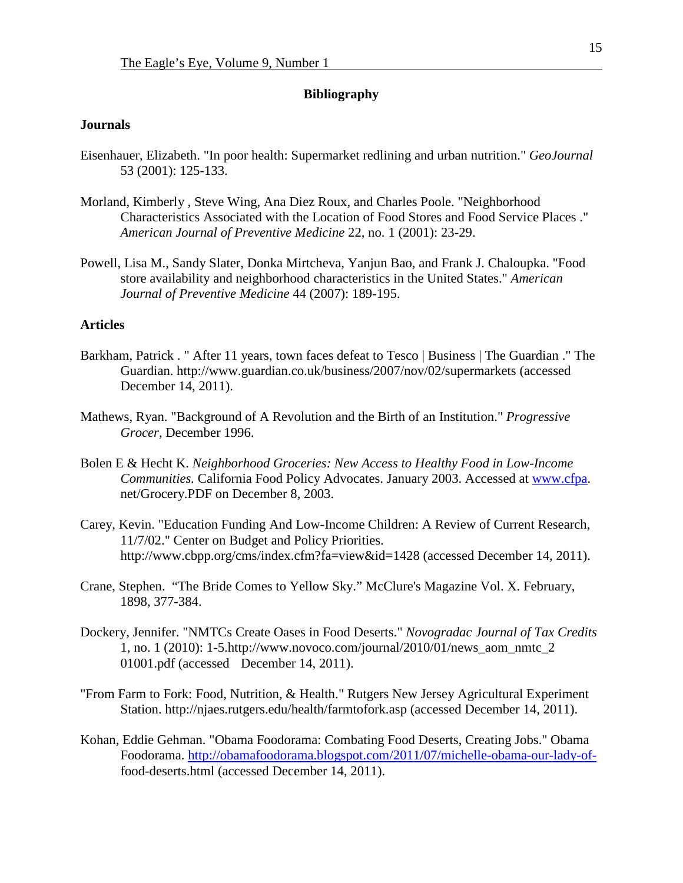#### **Bibliography**

### **Journals**

- Eisenhauer, Elizabeth. "In poor health: Supermarket redlining and urban nutrition." *GeoJournal* 53 (2001): 125-133.
- Morland, Kimberly , Steve Wing, Ana Diez Roux, and Charles Poole. "Neighborhood Characteristics Associated with the Location of Food Stores and Food Service Places ." *American Journal of Preventive Medicine* 22, no. 1 (2001): 23-29.
- Powell, Lisa M., Sandy Slater, Donka Mirtcheva, Yanjun Bao, and Frank J. Chaloupka. "Food store availability and neighborhood characteristics in the United States." *American Journal of Preventive Medicine* 44 (2007): 189-195.

## **Articles**

- Barkham, Patrick . " After 11 years, town faces defeat to Tesco | Business | The Guardian ." The Guardian. http://www.guardian.co.uk/business/2007/nov/02/supermarkets (accessed December 14, 2011).
- Mathews, Ryan. "Background of A Revolution and the Birth of an Institution." *Progressive Grocer,* December 1996.
- Bolen E & Hecht K. *Neighborhood Groceries: New Access to Healthy Food in Low-Income Communities.* California Food Policy Advocates. January 2003. Accessed at [www.cfpa.](http://www.cfpa/) net/Grocery.PDF on December 8, 2003.
- Carey, Kevin. "Education Funding And Low-Income Children: A Review of Current Research, 11/7/02." Center on Budget and Policy Priorities. http://www.cbpp.org/cms/index.cfm?fa=view&id=1428 (accessed December 14, 2011).
- Crane, Stephen. "The Bride Comes to Yellow Sky." McClure's Magazine Vol. X. February, 1898, 377-384.
- Dockery, Jennifer. "NMTCs Create Oases in Food Deserts." *Novogradac Journal of Tax Credits*  1, no. 1 (2010): 1-5.http://www.novoco.com/journal/2010/01/news\_aom\_nmtc\_2 01001.pdf (accessed December 14, 2011).
- "From Farm to Fork: Food, Nutrition, & Health." Rutgers New Jersey Agricultural Experiment Station. http://njaes.rutgers.edu/health/farmtofork.asp (accessed December 14, 2011).
- Kohan, Eddie Gehman. "Obama Foodorama: Combating Food Deserts, Creating Jobs." Obama Foodorama. [http://obamafoodorama.blogspot.com/2011/07/michelle-obama-our-lady-of](http://obamafoodorama.blogspot.com/2011/07/michelle-obama-our-lady-of-)food-deserts.html (accessed December 14, 2011).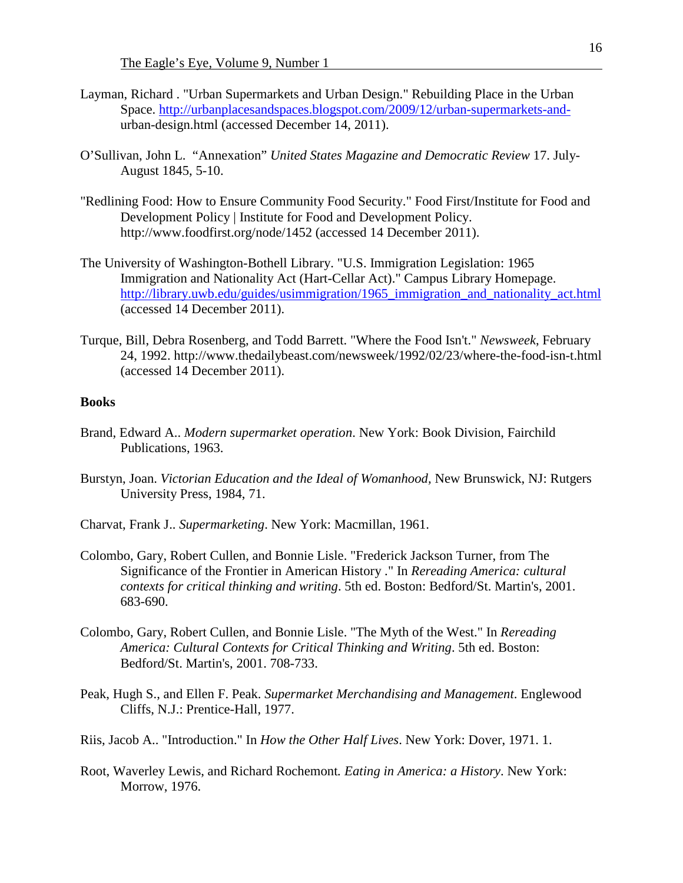- Layman, Richard . "Urban Supermarkets and Urban Design." Rebuilding Place in the Urban Space. [http://urbanplacesandspaces.blogspot.com/2009/12/urban-supermarkets-and](http://urbanplacesandspaces.blogspot.com/2009/12/urban-supermarkets-and-)urban-design.html (accessed December 14, 2011).
- O'Sullivan, John L. "Annexation" *United States Magazine and Democratic Review* 17. July-August 1845, 5-10.
- "Redlining Food: How to Ensure Community Food Security." Food First/Institute for Food and Development Policy | Institute for Food and Development Policy. http://www.foodfirst.org/node/1452 (accessed 14 December 2011).
- The University of Washington-Bothell Library. "U.S. Immigration Legislation: 1965 Immigration and Nationality Act (Hart-Cellar Act)." Campus Library Homepage. http://library.uwb.edu/guides/usimmigration/1965 immigration and nationality act.html (accessed 14 December 2011).
- Turque, Bill, Debra Rosenberg, and Todd Barrett. "Where the Food Isn't." *Newsweek*, February 24, 1992. http://www.thedailybeast.com/newsweek/1992/02/23/where-the-food-isn-t.html (accessed 14 December 2011).

#### **Books**

- Brand, Edward A.. *Modern supermarket operation*. New York: Book Division, Fairchild Publications, 1963.
- Burstyn, Joan. *Victorian Education and the Ideal of Womanhood,* New Brunswick, NJ: Rutgers University Press, 1984, 71.
- Charvat, Frank J.. *Supermarketing*. New York: Macmillan, 1961.
- Colombo, Gary, Robert Cullen, and Bonnie Lisle. "Frederick Jackson Turner, from The Significance of the Frontier in American History ." In *Rereading America: cultural contexts for critical thinking and writing*. 5th ed. Boston: Bedford/St. Martin's, 2001. 683-690.
- Colombo, Gary, Robert Cullen, and Bonnie Lisle. "The Myth of the West." In *Rereading America: Cultural Contexts for Critical Thinking and Writing*. 5th ed. Boston: Bedford/St. Martin's, 2001. 708-733.
- Peak, Hugh S., and Ellen F. Peak. *Supermarket Merchandising and Management*. Englewood Cliffs, N.J.: Prentice-Hall, 1977.
- Riis, Jacob A.. "Introduction." In *How the Other Half Lives*. New York: Dover, 1971. 1.
- Root, Waverley Lewis, and Richard Rochemont*. Eating in America: a History*. New York: Morrow, 1976.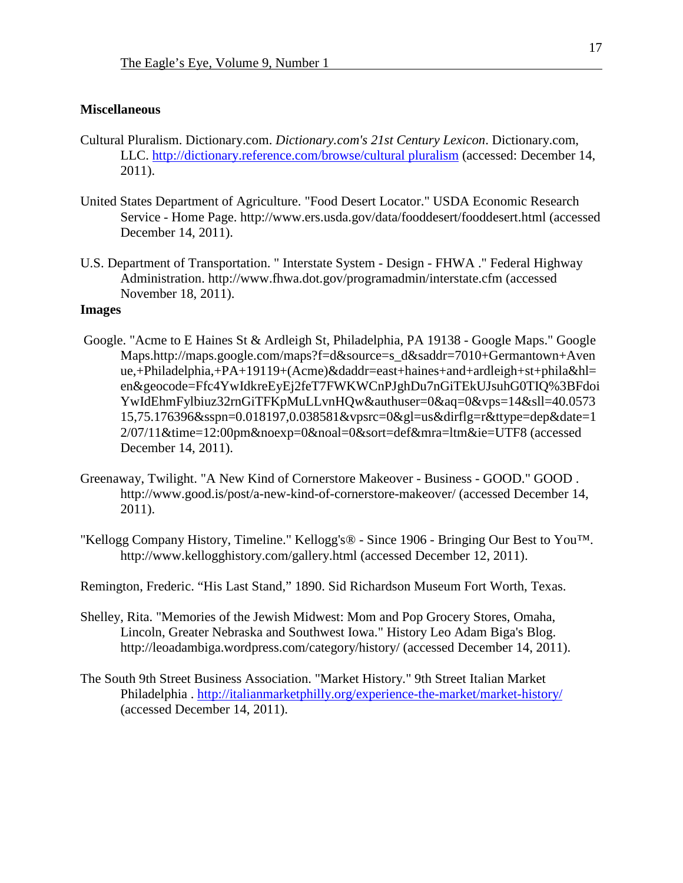#### **Miscellaneous**

- Cultural Pluralism. Dictionary.com. *Dictionary.com's 21st Century Lexicon*. Dictionary.com, LLC. [http://dictionary.reference.com/browse/cultural pluralism](http://dictionary.reference.com/browse/cultural%20pluralism) (accessed: December 14, 2011).
- United States Department of Agriculture. "Food Desert Locator." USDA Economic Research Service - Home Page. http://www.ers.usda.gov/data/fooddesert/fooddesert.html (accessed December 14, 2011).
- U.S. Department of Transportation. " Interstate System Design FHWA ." Federal Highway Administration. http://www.fhwa.dot.gov/programadmin/interstate.cfm (accessed November 18, 2011).

## **Images**

- Google. "Acme to E Haines St & Ardleigh St, Philadelphia, PA 19138 Google Maps." Google Maps.http://maps.google.com/maps?f=d&source=s\_d&saddr=7010+Germantown+Aven ue,+Philadelphia,+PA+19119+(Acme)&daddr=east+haines+and+ardleigh+st+phila&hl= en&geocode=Ffc4YwIdkreEyEj2feT7FWKWCnPJghDu7nGiTEkUJsuhG0TIQ%3BFdoi YwIdEhmFylbiuz32rnGiTFKpMuLLvnHQw&authuser=0&aq=0&vps=14&sll=40.0573 15,75.176396&sspn=0.018197,0.038581&vpsrc=0&gl=us&dirflg=r&ttype=dep&date=1 2/07/11&time=12:00pm&noexp=0&noal=0&sort=def&mra=ltm&ie=UTF8 (accessed December 14, 2011).
- Greenaway, Twilight. "A New Kind of Cornerstore Makeover Business GOOD." GOOD . http://www.good.is/post/a-new-kind-of-cornerstore-makeover/ (accessed December 14, 2011).
- "Kellogg Company History, Timeline." Kellogg's® Since 1906 Bringing Our Best to You™. http://www.kellogghistory.com/gallery.html (accessed December 12, 2011).
- Remington, Frederic. "His Last Stand," 1890. Sid Richardson Museum Fort Worth, Texas.
- Shelley, Rita. "Memories of the Jewish Midwest: Mom and Pop Grocery Stores, Omaha, Lincoln, Greater Nebraska and Southwest Iowa." History Leo Adam Biga's Blog. http://leoadambiga.wordpress.com/category/history/ (accessed December 14, 2011).
- The South 9th Street Business Association. "Market History." 9th Street Italian Market Philadelphia .<http://italianmarketphilly.org/experience-the-market/market-history/> (accessed December 14, 2011).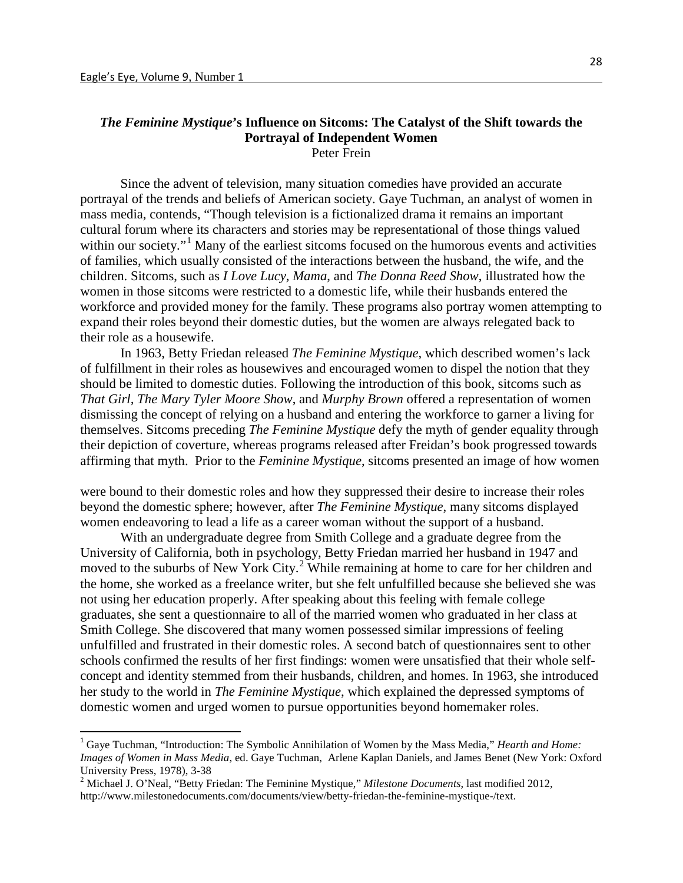#### *The Feminine Mystique***'s Influence on Sitcoms: The Catalyst of the Shift towards the Portrayal of Independent Women** Peter Frein

Since the advent of television, many situation comedies have provided an accurate portrayal of the trends and beliefs of American society. Gaye Tuchman, an analyst of women in mass media, contends, "Though television is a fictionalized drama it remains an important cultural forum where its characters and stories may be representational of those things valued within our society."<sup>[1](#page-18-0)</sup> Many of the earliest sitcoms focused on the humorous events and activities of families, which usually consisted of the interactions between the husband, the wife, and the children. Sitcoms, such as *I Love Lucy*, *Mama*, and *The Donna Reed Show*, illustrated how the women in those sitcoms were restricted to a domestic life, while their husbands entered the workforce and provided money for the family. These programs also portray women attempting to expand their roles beyond their domestic duties, but the women are always relegated back to their role as a housewife.

In 1963, Betty Friedan released *The Feminine Mystique*, which described women's lack of fulfillment in their roles as housewives and encouraged women to dispel the notion that they should be limited to domestic duties. Following the introduction of this book, sitcoms such as *That Girl, The Mary Tyler Moore Show*, and *Murphy Brown* offered a representation of women dismissing the concept of relying on a husband and entering the workforce to garner a living for themselves. Sitcoms preceding *The Feminine Mystique* defy the myth of gender equality through their depiction of coverture, whereas programs released after Freidan's book progressed towards affirming that myth. Prior to the *Feminine Mystique*, sitcoms presented an image of how women

were bound to their domestic roles and how they suppressed their desire to increase their roles beyond the domestic sphere; however, after *The Feminine Mystique*, many sitcoms displayed women endeavoring to lead a life as a career woman without the support of a husband.

With an undergraduate degree from Smith College and a graduate degree from the University of California, both in psychology, Betty Friedan married her husband in 1947 and moved to the suburbs of New York City.<sup>[2](#page-18-1)</sup> While remaining at home to care for her children and the home, she worked as a freelance writer, but she felt unfulfilled because she believed she was not using her education properly. After speaking about this feeling with female college graduates, she sent a questionnaire to all of the married women who graduated in her class at Smith College. She discovered that many women possessed similar impressions of feeling unfulfilled and frustrated in their domestic roles. A second batch of questionnaires sent to other schools confirmed the results of her first findings: women were unsatisfied that their whole selfconcept and identity stemmed from their husbands, children, and homes. In 1963, she introduced her study to the world in *The Feminine Mystique*, which explained the depressed symptoms of domestic women and urged women to pursue opportunities beyond homemaker roles.

<span id="page-18-0"></span><sup>&</sup>lt;sup>1</sup> Gaye Tuchman, "Introduction: The Symbolic Annihilation of Women by the Mass Media," *Hearth and Home: Images of Women in Mass Media*, ed. Gaye Tuchman, Arlene Kaplan Daniels, and James Benet (New York: Oxford University Press, 1978), 3-38 <sup>2</sup> Michael J. O'Neal, "Betty Friedan: The Feminine Mystique," *Milestone Documents*, last modified 2012,

<span id="page-18-1"></span>http://www.milestonedocuments.com/documents/view/betty-friedan-the-feminine-mystique-/text.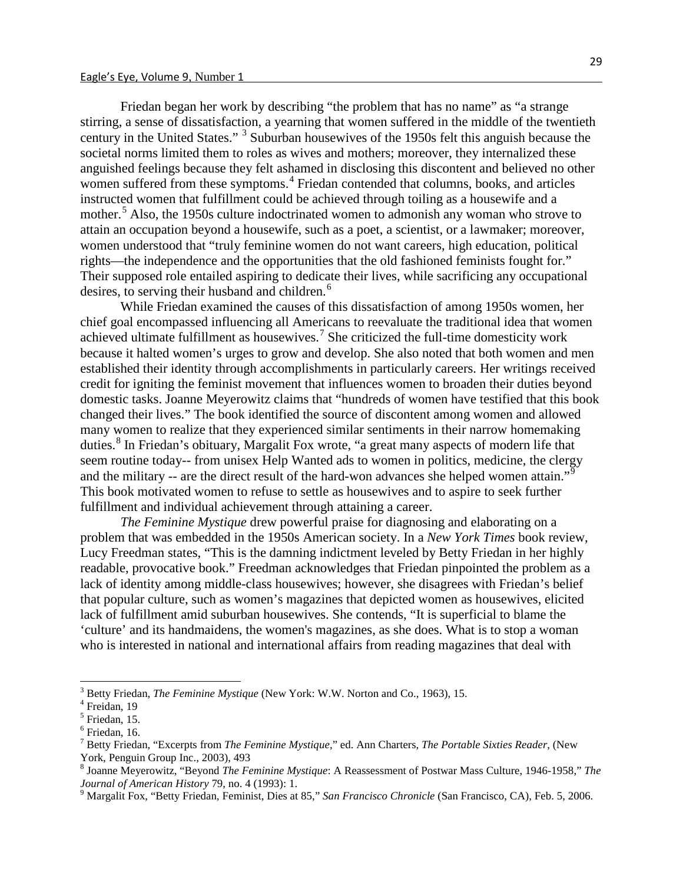Friedan began her work by describing "the problem that has no name" as "a strange stirring, a sense of dissatisfaction, a yearning that women suffered in the middle of the twentieth century in the United States." [3](#page-19-0) Suburban housewives of the 1950s felt this anguish because the societal norms limited them to roles as wives and mothers; moreover, they internalized these anguished feelings because they felt ashamed in disclosing this discontent and believed no other women suffered from these symptoms.<sup>[4](#page-19-1)</sup> Friedan contended that columns, books, and articles instructed women that fulfillment could be achieved through toiling as a housewife and a mother.<sup>[5](#page-19-2)</sup> Also, the 1950s culture indoctrinated women to admonish any woman who strove to attain an occupation beyond a housewife, such as a poet, a scientist, or a lawmaker; moreover, women understood that "truly feminine women do not want careers, high education, political rights—the independence and the opportunities that the old fashioned feminists fought for." Their supposed role entailed aspiring to dedicate their lives, while sacrificing any occupational desires, to serving their husband and children.<sup>[6](#page-19-3)</sup>

While Friedan examined the causes of this dissatisfaction of among 1950s women, her chief goal encompassed influencing all Americans to reevaluate the traditional idea that women achieved ultimate fulfillment as housewives.<sup>[7](#page-19-4)</sup> She criticized the full-time domesticity work because it halted women's urges to grow and develop. She also noted that both women and men established their identity through accomplishments in particularly careers. Her writings received credit for igniting the feminist movement that influences women to broaden their duties beyond domestic tasks. Joanne Meyerowitz claims that "hundreds of women have testified that this book changed their lives." The book identified the source of discontent among women and allowed many women to realize that they experienced similar sentiments in their narrow homemaking duties.<sup>[8](#page-19-5)</sup> In Friedan's obituary, Margalit Fox wrote, "a great many aspects of modern life that seem routine today-- from unisex Help Wanted ads to women in politics, medicine, the clergy and the military -- are the direct result of the hard-won advances she helped women attain."<sup>[9](#page-19-6)</sup> This book motivated women to refuse to settle as housewives and to aspire to seek further fulfillment and individual achievement through attaining a career.

*The Feminine Mystique* drew powerful praise for diagnosing and elaborating on a problem that was embedded in the 1950s American society. In a *New York Times* book review, Lucy Freedman states, "This is the damning indictment leveled by Betty Friedan in her highly readable, provocative book." Freedman acknowledges that Friedan pinpointed the problem as a lack of identity among middle-class housewives; however, she disagrees with Friedan's belief that popular culture, such as women's magazines that depicted women as housewives, elicited lack of fulfillment amid suburban housewives. She contends, "It is superficial to blame the 'culture' and its handmaidens, the women's magazines, as she does. What is to stop a woman who is interested in national and international affairs from reading magazines that [deal](http://www.nytimes.com/1963/04/07/books/friedan-feminine.html) with

<span id="page-19-0"></span><sup>&</sup>lt;sup>3</sup> Betty Friedan, *The Feminine Mystique* (New York: W.W. Norton and Co., 1963), 15.<br><sup>4</sup> Freidan, 19

<span id="page-19-2"></span><span id="page-19-1"></span> $<sup>5</sup>$  Friedan, 15.</sup>

<span id="page-19-3"></span> $6$  Friedan, 16.

<span id="page-19-4"></span><sup>7</sup> Betty Friedan, "Excerpts from *The Feminine Mystique*," ed. Ann Charters, *The Portable Sixties Reader*, (New York, Penguin Group Inc., 2003), 493

<span id="page-19-5"></span><sup>8</sup> Joanne Meyerowitz, "Beyond *The Feminine Mystique*: A Reassessment of Postwar Mass Culture, 1946-1958," *The* 

<span id="page-19-6"></span><sup>&</sup>lt;sup>9</sup> Margalit Fox, "Betty Friedan, Feminist, Dies at 85," *San Francisco Chronicle* (San Francisco, CA), Feb. 5, 2006.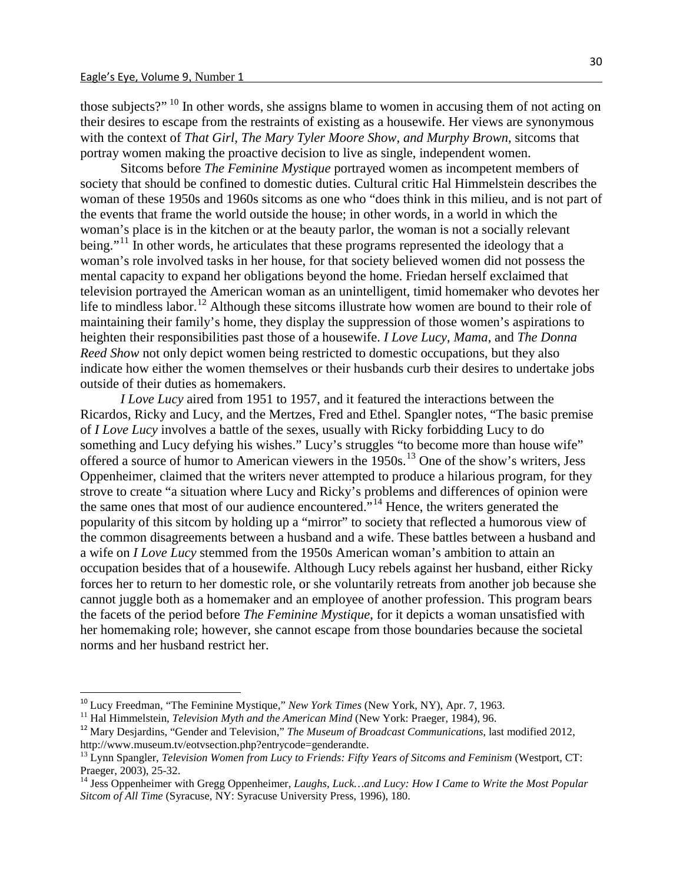those subjects?" <sup>[10](#page-20-0)</sup> In other words, she assigns blame to women in accusing them of not acting on their desires to escape from the restraints of existing as a housewife. Her views are synonymous with the context of *That Girl, The Mary Tyler Moore Show, and Murphy Brown*, sitcoms that portray women making the proactive decision to live as single, independent women.

Sitcoms before *The Feminine Mystique* portrayed women as incompetent members of society that should be confined to domestic duties. Cultural critic Hal Himmelstein describes the woman of these 1950s and 1960s sitcoms as one who "does think in this milieu, and is not part of the events that frame the world outside the house; in other words, in a world in which the woman's place is in the kitchen or at the beauty parlor, the woman is not a socially relevant being."<sup>[11](#page-20-1)</sup> In other words, he articulates that these programs represented the ideology that a woman's role involved tasks in her house, for that society believed women did not possess the mental capacity to expand her obligations beyond the home. Friedan herself exclaimed that television portrayed the American woman as an unintelligent, timid homemaker who devotes her life to mindless labor.<sup>[12](#page-20-2)</sup> Although these sitcoms illustrate how women are bound to their role of maintaining their family's home, they display the suppression of those women's aspirations to heighten their responsibilities past those of a housewife. *I Love Lucy*, *Mama*, and *The Donna Reed Show* not only depict women being restricted to domestic occupations, but they also indicate how either the women themselves or their husbands curb their desires to undertake jobs outside of their duties as homemakers.

*I Love Lucy* aired from 1951 to 1957, and it featured the interactions between the Ricardos, Ricky and Lucy, and the Mertzes, Fred and Ethel. Spangler notes, "The basic premise of *I Love Lucy* involves a battle of the sexes, usually with Ricky forbidding Lucy to do something and Lucy defying his wishes." Lucy's struggles "to become more than house wife" offered a source of humor to American viewers in the 1950s.[13](#page-20-3) One of the show's writers, Jess Oppenheimer, claimed that the writers never attempted to produce a hilarious program, for they strove to create "a situation where Lucy and Ricky's problems and differences of opinion were the same ones that most of our audience encountered."[14](#page-20-4) Hence, the writers generated the popularity of this sitcom by holding up a "mirror" to society that reflected a humorous view of the common disagreements between a husband and a wife. These battles between a husband and a wife on *I Love Lucy* stemmed from the 1950s American woman's ambition to attain an occupation besides that of a housewife. Although Lucy rebels against her husband, either Ricky forces her to return to her domestic role, or she voluntarily retreats from another job because she cannot juggle both as a homemaker and an employee of another profession. This program bears the facets of the period before *The Feminine Mystique*, for it depicts a woman unsatisfied with her homemaking role; however, she cannot escape from those boundaries because the societal norms and her husband restrict her.

<span id="page-20-2"></span><span id="page-20-1"></span>

<span id="page-20-0"></span><sup>&</sup>lt;sup>10</sup> Lucy Freedman, "The Feminine Mystique," *New York Times* (New York, NY), Apr. 7, 1963.<br><sup>11</sup> Hal Himmelstein, *Television Myth and the American Mind* (New York: Praeger, 1984), 96.<br><sup>12</sup> Mary Desjardins, "Gender and Te http://www.museum.tv/eotvsection.php?entrycode=genderandte.

<span id="page-20-3"></span><sup>&</sup>lt;sup>13</sup> Lynn Spangler, *Television Women from Lucy to Friends: Fifty Years of Sitcoms and Feminism* (Westport, CT: Praeger, 2003), 25-32.

<span id="page-20-4"></span><sup>&</sup>lt;sup>14</sup> Jess Oppenheimer with Gregg Oppenheimer, *Laughs, Luck…and Lucy: How I Came to Write the Most Popular Sitcom of All Time* (Syracuse, NY: Syracuse University Press, 1996), 180.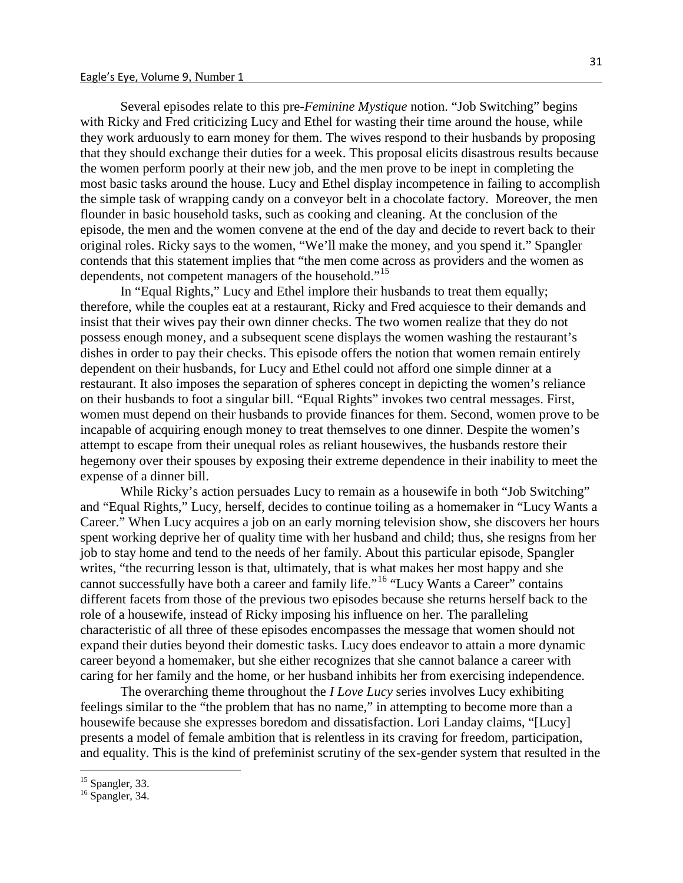Several episodes relate to this pre-*Feminine Mystique* notion. "Job Switching" begins with Ricky and Fred criticizing Lucy and Ethel for wasting their time around the house, while they work arduously to earn money for them. The wives respond to their husbands by proposing that they should exchange their duties for a week. This proposal elicits disastrous results because the women perform poorly at their new job, and the men prove to be inept in completing the most basic tasks around the house. Lucy and Ethel display incompetence in failing to accomplish the simple task of wrapping candy on a conveyor belt in a chocolate factory. Moreover, the men flounder in basic household tasks, such as cooking and cleaning. At the conclusion of the episode, the men and the women convene at the end of the day and decide to revert back to their original roles. Ricky says to the women, "We'll make the money, and you spend it." Spangler contends that this statement implies that "the men come across as providers and the women as dependents, not competent managers of the household."<sup>[15](#page-21-0)</sup>

In "Equal Rights," Lucy and Ethel implore their husbands to treat them equally; therefore, while the couples eat at a restaurant, Ricky and Fred acquiesce to their demands and insist that their wives pay their own dinner checks. The two women realize that they do not possess enough money, and a subsequent scene displays the women washing the restaurant's dishes in order to pay their checks. This episode offers the notion that women remain entirely dependent on their husbands, for Lucy and Ethel could not afford one simple dinner at a restaurant. It also imposes the separation of spheres concept in depicting the women's reliance on their husbands to foot a singular bill. "Equal Rights" invokes two central messages. First, women must depend on their husbands to provide finances for them. Second, women prove to be incapable of acquiring enough money to treat themselves to one dinner. Despite the women's attempt to escape from their unequal roles as reliant housewives, the husbands restore their hegemony over their spouses by exposing their extreme dependence in their inability to meet the expense of a dinner bill.

While Ricky's action persuades Lucy to remain as a housewife in both "Job Switching" and "Equal Rights," Lucy, herself, decides to continue toiling as a homemaker in "Lucy Wants a Career." When Lucy acquires a job on an early morning television show, she discovers her hours spent working deprive her of quality time with her husband and child; thus, she resigns from her job to stay home and tend to the needs of her family. About this particular episode, Spangler writes, "the recurring lesson is that, ultimately, that is what makes her most happy and she cannot successfully have both a career and family life."<sup>[16](#page-21-1)</sup> "Lucy Wants a Career" contains different facets from those of the previous two episodes because she returns herself back to the role of a housewife, instead of Ricky imposing his influence on her. The paralleling characteristic of all three of these episodes encompasses the message that women should not expand their duties beyond their domestic tasks. Lucy does endeavor to attain a more dynamic career beyond a homemaker, but she either recognizes that she cannot balance a career with caring for her family and the home, or her husband inhibits her from exercising independence.

The overarching theme throughout the *I Love Lucy* series involves Lucy exhibiting feelings similar to the "the problem that has no name," in attempting to become more than a housewife because she expresses boredom and dissatisfaction. Lori Landay claims, "[Lucy] presents a model of female ambition that is relentless in its craving for freedom, participation, and equality. This is the kind of prefeminist scrutiny of the sex-gender system that resulted in the

<span id="page-21-0"></span> $15$  Spangler, 33.<br> $16$  Spangler, 34.

<span id="page-21-1"></span>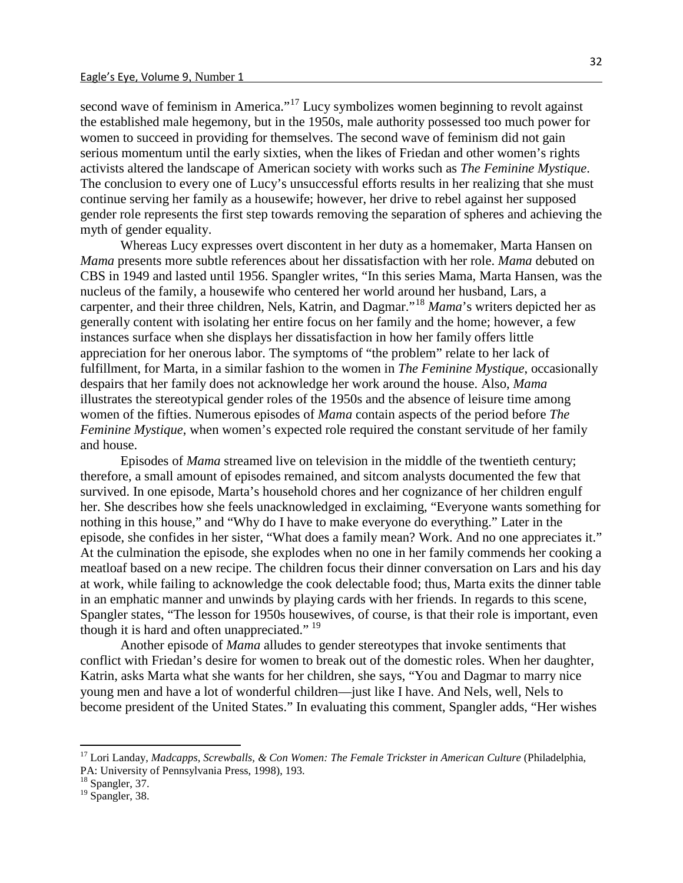second wave of feminism in America."<sup>[17](#page-22-0)</sup> Lucy symbolizes women beginning to revolt against the established male hegemony, but in the 1950s, male authority possessed too much power for women to succeed in providing for themselves. The second wave of feminism did not gain serious momentum until the early sixties, when the likes of Friedan and other women's rights activists altered the landscape of American society with works such as *The Feminine Mystique*. The conclusion to every one of Lucy's unsuccessful efforts results in her realizing that she must continue serving her family as a housewife; however, her drive to rebel against her supposed gender role represents the first step towards removing the separation of spheres and achieving the myth of gender equality.

Whereas Lucy expresses overt discontent in her duty as a homemaker, Marta Hansen on *Mama* presents more subtle references about her dissatisfaction with her role. *Mama* debuted on CBS in 1949 and lasted until 1956. Spangler writes, "In this series Mama, Marta Hansen, was the nucleus of the family, a housewife who centered her world around her husband, Lars, a carpenter, and their three children, Nels, Katrin, and Dagmar."[18](#page-22-1) *Mama*'s writers depicted her as generally content with isolating her entire focus on her family and the home; however, a few instances surface when she displays her dissatisfaction in how her family offers little appreciation for her onerous labor. The symptoms of "the problem" relate to her lack of fulfillment, for Marta, in a similar fashion to the women in *The Feminine Mystique*, occasionally despairs that her family does not acknowledge her work around the house. Also, *Mama*  illustrates the stereotypical gender roles of the 1950s and the absence of leisure time among women of the fifties. Numerous episodes of *Mama* contain aspects of the period before *The Feminine Mystique*, when women's expected role required the constant servitude of her family and house.

Episodes of *Mama* streamed live on television in the middle of the twentieth century; therefore, a small amount of episodes remained, and sitcom analysts documented the few that survived. In one episode, Marta's household chores and her cognizance of her children engulf her. She describes how she feels unacknowledged in exclaiming, "Everyone wants something for nothing in this house," and "Why do I have to make everyone do everything." Later in the episode, she confides in her sister, "What does a family mean? Work. And no one appreciates it." At the culmination the episode, she explodes when no one in her family commends her cooking a meatloaf based on a new recipe. The children focus their dinner conversation on Lars and his day at work, while failing to acknowledge the cook delectable food; thus, Marta exits the dinner table in an emphatic manner and unwinds by playing cards with her friends. In regards to this scene, Spangler states, "The lesson for 1950s housewives, of course, is that their role is important, even though it is hard and often unappreciated."<sup>[19](#page-22-2)</sup>

Another episode of *Mama* alludes to gender stereotypes that invoke sentiments that conflict with Friedan's desire for women to break out of the domestic roles. When her daughter, Katrin, asks Marta what she wants for her children, she says, "You and Dagmar to marry nice young men and have a lot of wonderful children—just like I have. And Nels, well, Nels to become president of the United States." In evaluating this comment, Spangler adds, "Her wishes

<span id="page-22-0"></span><sup>&</sup>lt;sup>17</sup> Lori Landay, *Madcapps, Screwballs, & Con Women: The Female Trickster in American Culture* (Philadelphia, PA: University of Pennsylvania Press, 1998), 193.

<span id="page-22-1"></span><sup>&</sup>lt;sup>18</sup> Spangler, 37.

<span id="page-22-2"></span><sup>&</sup>lt;sup>19</sup> Spangler, 38.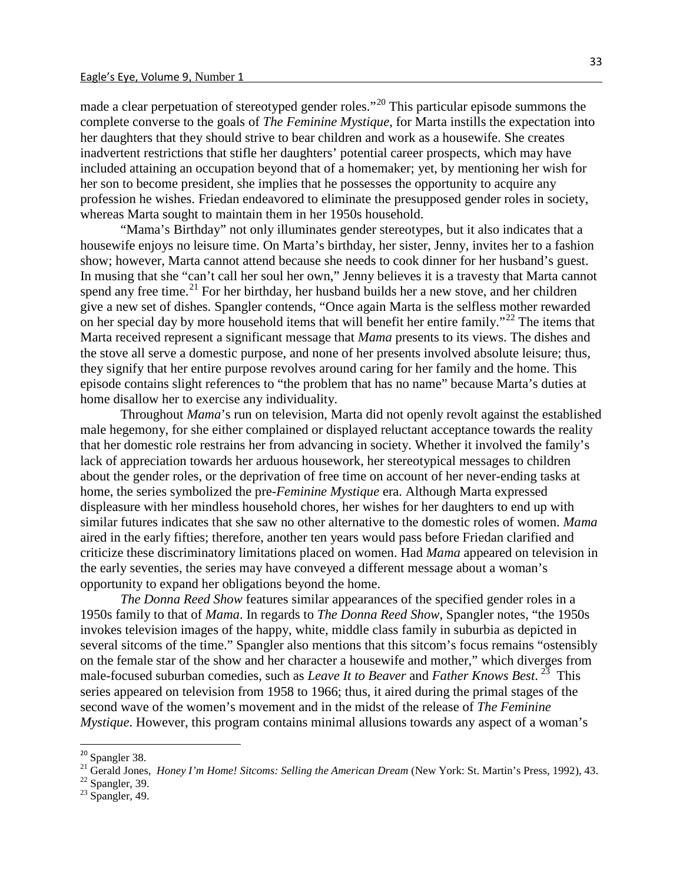made a clear perpetuation of stereotyped gender roles."<sup>[20](#page-23-0)</sup> This particular episode summons the complete converse to the goals of *The Feminine Mystique*, for Marta instills the expectation into her daughters that they should strive to bear children and work as a housewife. She creates inadvertent restrictions that stifle her daughters' potential career prospects, which may have included attaining an occupation beyond that of a homemaker; yet, by mentioning her wish for her son to become president, she implies that he possesses the opportunity to acquire any profession he wishes. Friedan endeavored to eliminate the presupposed gender roles in society, whereas Marta sought to maintain them in her 1950s household.

"Mama's Birthday" not only illuminates gender stereotypes, but it also indicates that a housewife enjoys no leisure time. On Marta's birthday, her sister, Jenny, invites her to a fashion show; however, Marta cannot attend because she needs to cook dinner for her husband's guest. In musing that she "can't call her soul her own," Jenny believes it is a travesty that Marta cannot spend any free time. $^{21}$  $^{21}$  $^{21}$  For her birthday, her husband builds her a new stove, and her children give a new set of dishes. Spangler contends, "Once again Marta is the selfless mother rewarded on her special day by more household items that will benefit her entire family."<sup>[22](#page-23-2)</sup> The items that Marta received represent a significant message that *Mama* presents to its views. The dishes and the stove all serve a domestic purpose, and none of her presents involved absolute leisure; thus, they signify that her entire purpose revolves around caring for her family and the home. This episode contains slight references to "the problem that has no name" because Marta's duties at home disallow her to exercise any individuality.

Throughout *Mama*'s run on television, Marta did not openly revolt against the established male hegemony, for she either complained or displayed reluctant acceptance towards the reality that her domestic role restrains her from advancing in society. Whether it involved the family's lack of appreciation towards her arduous housework, her stereotypical messages to children about the gender roles, or the deprivation of free time on account of her never-ending tasks at home, the series symbolized the pre-*Feminine Mystique* era. Although Marta expressed displeasure with her mindless household chores, her wishes for her daughters to end up with similar futures indicates that she saw no other alternative to the domestic roles of women. *Mama*  aired in the early fifties; therefore, another ten years would pass before Friedan clarified and criticize these discriminatory limitations placed on women. Had *Mama* appeared on television in the early seventies, the series may have conveyed a different message about a woman's opportunity to expand her obligations beyond the home.

*The Donna Reed Show* features similar appearances of the specified gender roles in a 1950s family to that of *Mama*. In regards to *The Donna Reed Show*, Spangler notes, "the 1950s invokes television images of the happy, white, middle class family in suburbia as depicted in several sitcoms of the time." Spangler also mentions that this sitcom's focus remains "ostensibly on the female star of the show and her character a housewife and mother," which diverges from male-focused suburban comedies, such as *Leave It to Beaver* and *Father Knows Best*. [23](#page-23-3) This series appeared on television from 1958 to 1966; thus, it aired during the primal stages of the second wave of the women's movement and in the midst of the release of *The Feminine Mystique*. However, this program contains minimal allusions towards any aspect of a woman's

<span id="page-23-1"></span><span id="page-23-0"></span><sup>&</sup>lt;sup>20</sup> Spangler 38.<br><sup>21</sup> Gerald Jones, *Honey I'm Home! Sitcoms: Selling the American Dream* (New York: St. Martin's Press, 1992), 43.<br><sup>22</sup> Spangler, 39.<br><sup>23</sup> Spangler, 49.

<span id="page-23-2"></span>

<span id="page-23-3"></span>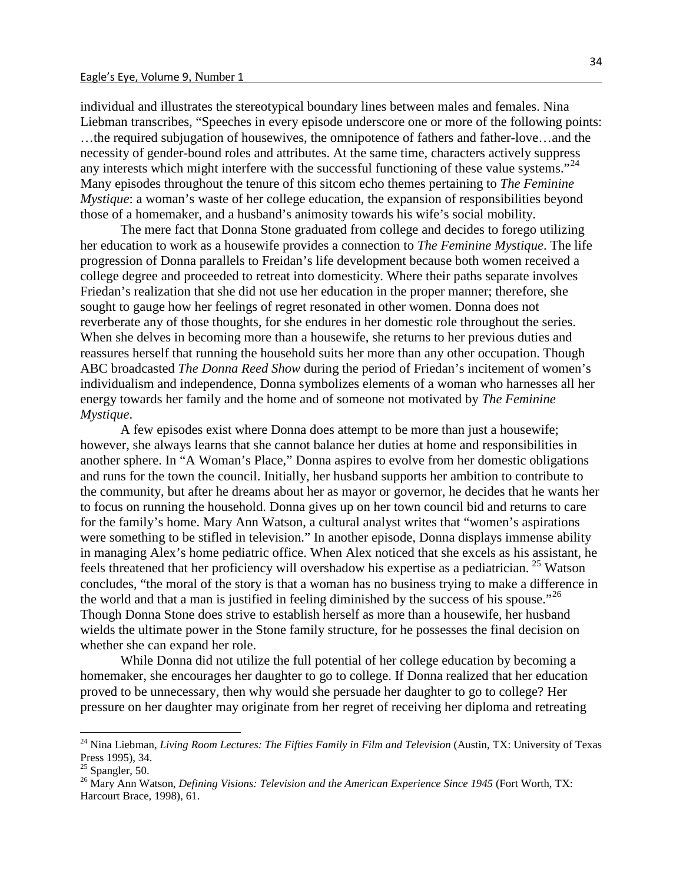individual and illustrates the stereotypical boundary lines between males and females. Nina Liebman transcribes, "Speeches in every episode underscore one or more of the following points: ...the required subjugation of housewives, the omnipotence of fathers and father-love...and the necessity of gender-bound roles and attributes. At the same time, characters actively suppress any interests which might interfere with the successful functioning of these value systems."<sup>[24](#page-24-0)</sup> Many episodes throughout the tenure of this sitcom echo themes pertaining to *The Feminine Mystique*: a woman's waste of her college education, the expansion of responsibilities beyond those of a homemaker, and a husband's animosity towards his wife's social mobility.

The mere fact that Donna Stone graduated from college and decides to forego utilizing her education to work as a housewife provides a connection to *The Feminine Mystique*. The life progression of Donna parallels to Freidan's life development because both women received a college degree and proceeded to retreat into domesticity. Where their paths separate involves Friedan's realization that she did not use her education in the proper manner; therefore, she sought to gauge how her feelings of regret resonated in other women. Donna does not reverberate any of those thoughts, for she endures in her domestic role throughout the series. When she delves in becoming more than a housewife, she returns to her previous duties and reassures herself that running the household suits her more than any other occupation. Though ABC broadcasted *The Donna Reed Show* during the period of Friedan's incitement of women's individualism and independence, Donna symbolizes elements of a woman who harnesses all her energy towards her family and the home and of someone not motivated by *The Feminine Mystique*.

A few episodes exist where Donna does attempt to be more than just a housewife; however, she always learns that she cannot balance her duties at home and responsibilities in another sphere. In "A Woman's Place," Donna aspires to evolve from her domestic obligations and runs for the town the council. Initially, her husband supports her ambition to contribute to the community, but after he dreams about her as mayor or governor, he decides that he wants her to focus on running the household. Donna gives up on her town council bid and returns to care for the family's home. Mary Ann Watson, a cultural analyst writes that "women's aspirations were something to be stifled in television." In another episode, Donna displays immense ability in managing Alex's home pediatric office. When Alex noticed that she excels as his assistant, he feels threatened that her proficiency will overshadow his expertise as a pediatrician. [25](#page-24-1) Watson concludes, "the moral of the story is that a woman has no business trying to make a difference in the world and that a man is justified in feeling diminished by the success of his spouse."<sup>[26](#page-24-2)</sup> Though Donna Stone does strive to establish herself as more than a housewife, her husband wields the ultimate power in the Stone family structure, for he possesses the final decision on whether she can expand her role.

While Donna did not utilize the full potential of her college education by becoming a homemaker, she encourages her daughter to go to college. If Donna realized that her education proved to be unnecessary, then why would she persuade her daughter to go to college? Her pressure on her daughter may originate from her regret of receiving her diploma and retreating

<span id="page-24-0"></span><sup>&</sup>lt;sup>24</sup> Nina Liebman, *Living Room Lectures: The Fifties Family in Film and Television* (Austin, TX: University of Texas Press 1995), 34.<br><sup>25</sup> Spangler, 50.

<span id="page-24-1"></span>

<span id="page-24-2"></span><sup>&</sup>lt;sup>26</sup> Mary Ann Watson, *Defining Visions: Television and the American Experience Since 1945* (Fort Worth, TX: Harcourt Brace, 1998), 61.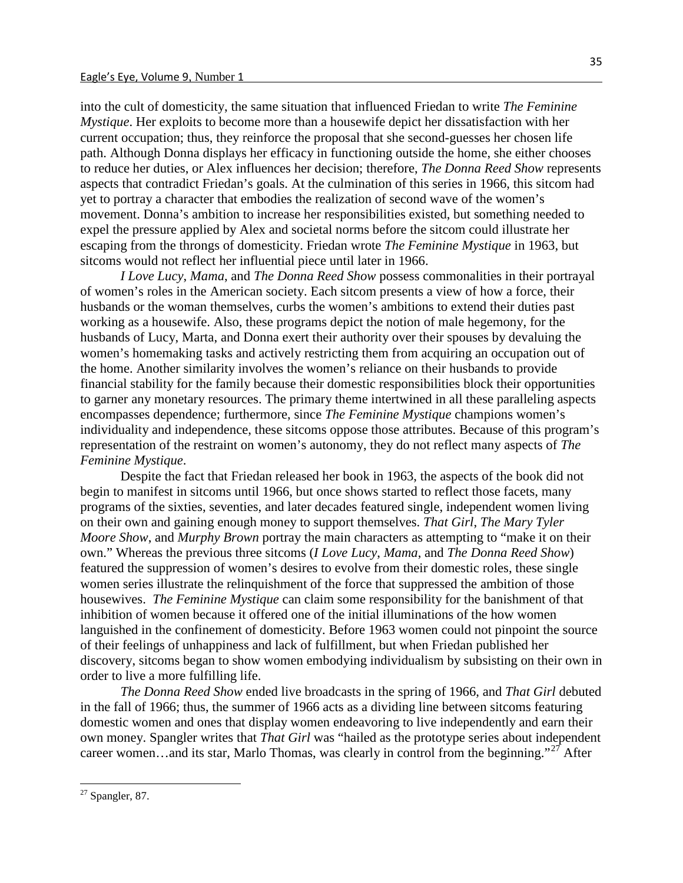into the cult of domesticity, the same situation that influenced Friedan to write *The Feminine Mystique*. Her exploits to become more than a housewife depict her dissatisfaction with her current occupation; thus, they reinforce the proposal that she second-guesses her chosen life path. Although Donna displays her efficacy in functioning outside the home, she either chooses to reduce her duties, or Alex influences her decision; therefore, *The Donna Reed Show* represents aspects that contradict Friedan's goals. At the culmination of this series in 1966, this sitcom had yet to portray a character that embodies the realization of second wave of the women's movement. Donna's ambition to increase her responsibilities existed, but something needed to expel the pressure applied by Alex and societal norms before the sitcom could illustrate her escaping from the throngs of domesticity. Friedan wrote *The Feminine Mystique* in 1963, but sitcoms would not reflect her influential piece until later in 1966.

*I Love Lucy*, *Mama*, and *The Donna Reed Show* possess commonalities in their portrayal of women's roles in the American society. Each sitcom presents a view of how a force, their husbands or the woman themselves, curbs the women's ambitions to extend their duties past working as a housewife. Also, these programs depict the notion of male hegemony, for the husbands of Lucy, Marta, and Donna exert their authority over their spouses by devaluing the women's homemaking tasks and actively restricting them from acquiring an occupation out of the home. Another similarity involves the women's reliance on their husbands to provide financial stability for the family because their domestic responsibilities block their opportunities to garner any monetary resources. The primary theme intertwined in all these paralleling aspects encompasses dependence; furthermore, since *The Feminine Mystique* champions women's individuality and independence, these sitcoms oppose those attributes. Because of this program's representation of the restraint on women's autonomy, they do not reflect many aspects of *The Feminine Mystique*.

Despite the fact that Friedan released her book in 1963, the aspects of the book did not begin to manifest in sitcoms until 1966, but once shows started to reflect those facets, many programs of the sixties, seventies, and later decades featured single, independent women living on their own and gaining enough money to support themselves. *That Girl*, *The Mary Tyler Moore Show*, and *Murphy Brown* portray the main characters as attempting to "make it on their own." Whereas the previous three sitcoms (*I Love Lucy*, *Mama*, and *The Donna Reed Show*) featured the suppression of women's desires to evolve from their domestic roles, these single women series illustrate the relinquishment of the force that suppressed the ambition of those housewives. *The Feminine Mystique* can claim some responsibility for the banishment of that inhibition of women because it offered one of the initial illuminations of the how women languished in the confinement of domesticity. Before 1963 women could not pinpoint the source of their feelings of unhappiness and lack of fulfillment, but when Friedan published her discovery, sitcoms began to show women embodying individualism by subsisting on their own in order to live a more fulfilling life.

*The Donna Reed Show* ended live broadcasts in the spring of 1966, and *That Girl* debuted in the fall of 1966; thus, the summer of 1966 acts as a dividing line between sitcoms featuring domestic women and ones that display women endeavoring to live independently and earn their own money. Spangler writes that *That Girl* was "hailed as the prototype series about independent career women...and its star, Marlo Thomas, was clearly in control from the beginning."<sup>[27](#page-25-0)</sup> After

<span id="page-25-0"></span><sup>27</sup> Spangler, 87.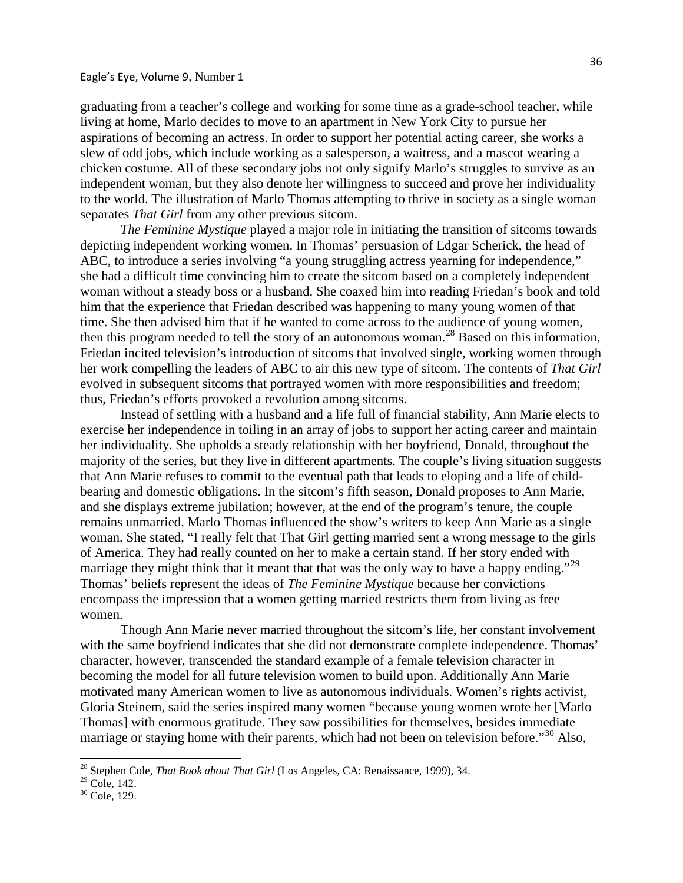graduating from a teacher's college and working for some time as a grade-school teacher, while living at home, Marlo decides to move to an apartment in New York City to pursue her aspirations of becoming an actress. In order to support her potential acting career, she works a slew of odd jobs, which include working as a salesperson, a waitress, and a mascot wearing a chicken costume. All of these secondary jobs not only signify Marlo's struggles to survive as an independent woman, but they also denote her willingness to succeed and prove her individuality to the world. The illustration of Marlo Thomas attempting to thrive in society as a single woman separates *That Girl* from any other previous sitcom.

*The Feminine Mystique* played a major role in initiating the transition of sitcoms towards depicting independent working women. In Thomas' persuasion of Edgar Scherick, the head of ABC, to introduce a series involving "a young struggling actress yearning for independence," she had a difficult time convincing him to create the sitcom based on a completely independent woman without a steady boss or a husband. She coaxed him into reading Friedan's book and told him that the experience that Friedan described was happening to many young women of that time. She then advised him that if he wanted to come across to the audience of young women, then this program needed to tell the story of an autonomous woman.<sup>[28](#page-26-0)</sup> Based on this information, Friedan incited television's introduction of sitcoms that involved single, working women through her work compelling the leaders of ABC to air this new type of sitcom. The contents of *That Girl* evolved in subsequent sitcoms that portrayed women with more responsibilities and freedom; thus, Friedan's efforts provoked a revolution among sitcoms.

Instead of settling with a husband and a life full of financial stability, Ann Marie elects to exercise her independence in toiling in an array of jobs to support her acting career and maintain her individuality. She upholds a steady relationship with her boyfriend, Donald, throughout the majority of the series, but they live in different apartments. The couple's living situation suggests that Ann Marie refuses to commit to the eventual path that leads to eloping and a life of childbearing and domestic obligations. In the sitcom's fifth season, Donald proposes to Ann Marie, and she displays extreme jubilation; however, at the end of the program's tenure, the couple remains unmarried. Marlo Thomas influenced the show's writers to keep Ann Marie as a single woman. She stated, "I really felt that That Girl getting married sent a wrong message to the girls of America. They had really counted on her to make a certain stand. If her story ended with marriage they might think that it meant that that was the only way to have a happy ending."<sup>[29](#page-26-1)</sup> Thomas' beliefs represent the ideas of *The Feminine Mystique* because her convictions encompass the impression that a women getting married restricts them from living as free women.

Though Ann Marie never married throughout the sitcom's life, her constant involvement with the same boyfriend indicates that she did not demonstrate complete independence. Thomas' character, however, transcended the standard example of a female television character in becoming the model for all future television women to build upon. Additionally Ann Marie motivated many American women to live as autonomous individuals. Women's rights activist, Gloria Steinem, said the series inspired many women "because young women wrote her [Marlo Thomas] with enormous gratitude. They saw possibilities for themselves, besides immediate marriage or staying home with their parents, which had not been on television before."<sup>[30](#page-26-2)</sup> Also,

<span id="page-26-0"></span><sup>28</sup> Stephen Cole, *That Book about That Girl* (Los Angeles, CA: Renaissance, 1999), 34.

<span id="page-26-2"></span><span id="page-26-1"></span><sup>&</sup>lt;sup>29</sup> Cole, 142.<br><sup>30</sup> Cole, 129.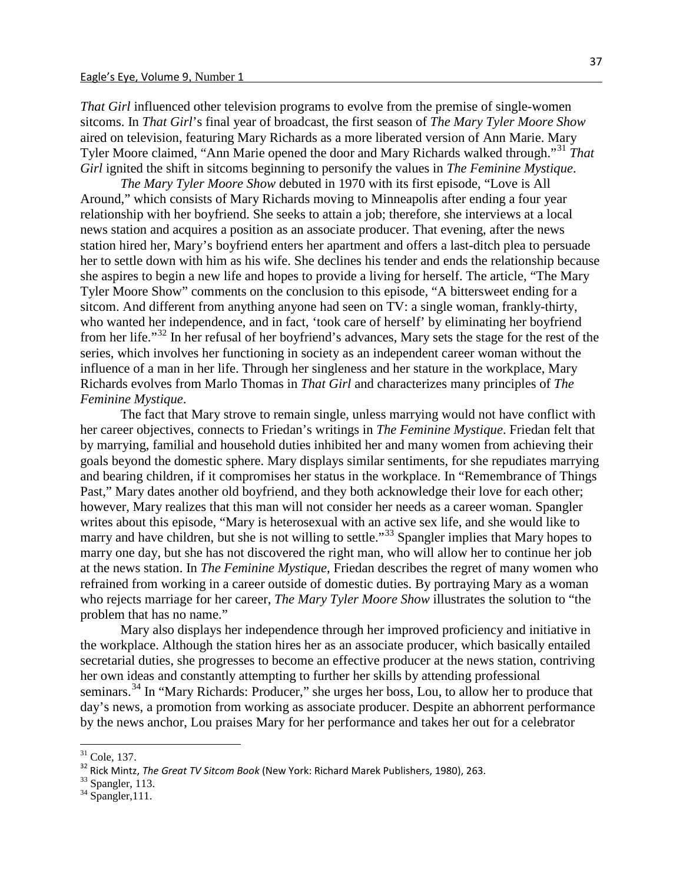*That Girl* influenced other television programs to evolve from the premise of single-women sitcoms. In *That Girl*'s final year of broadcast, the first season of *The Mary Tyler Moore Show* aired on television, featuring Mary Richards as a more liberated version of Ann Marie. Mary Tyler Moore claimed, "Ann Marie opened the door and Mary Richards walked through."[31](#page-27-0) *That Girl* ignited the shift in sitcoms beginning to personify the values in *The Feminine Mystique*.

*The Mary Tyler Moore Show* debuted in 1970 with its first episode, "Love is All Around," which consists of Mary Richards moving to Minneapolis after ending a four year relationship with her boyfriend. She seeks to attain a job; therefore, she interviews at a local news station and acquires a position as an associate producer. That evening, after the news station hired her, Mary's boyfriend enters her apartment and offers a last-ditch plea to persuade her to settle down with him as his wife. She declines his tender and ends the relationship because she aspires to begin a new life and hopes to provide a living for herself. The article, "The Mary Tyler Moore Show" comments on the conclusion to this episode, "A bittersweet ending for a sitcom. And different from anything anyone had seen on TV: a single woman, frankly-thirty, who wanted her independence, and in fact, 'took care of herself' by eliminating her boyfriend from her life."[32](#page-27-1) In her refusal of her boyfriend's advances, Mary sets the stage for the rest of the series, which involves her functioning in society as an independent career woman without the influence of a man in her life. Through her singleness and her stature in the workplace, Mary Richards evolves from Marlo Thomas in *That Girl* and characterizes many principles of *The Feminine Mystique*.

The fact that Mary strove to remain single, unless marrying would not have conflict with her career objectives, connects to Friedan's writings in *The Feminine Mystique*. Friedan felt that by marrying, familial and household duties inhibited her and many women from achieving their goals beyond the domestic sphere. Mary displays similar sentiments, for she repudiates marrying and bearing children, if it compromises her status in the workplace. In "Remembrance of Things Past," Mary dates another old boyfriend, and they both acknowledge their love for each other; however, Mary realizes that this man will not consider her needs as a career woman. Spangler writes about this episode, "Mary is heterosexual with an active sex life, and she would like to marry and have children, but she is not willing to settle."<sup>[33](#page-27-2)</sup> Spangler implies that Mary hopes to marry one day, but she has not discovered the right man, who will allow her to continue her job at the news station. In *The Feminine Mystique*, Friedan describes the regret of many women who refrained from working in a career outside of domestic duties. By portraying Mary as a woman who rejects marriage for her career, *The Mary Tyler Moore Show* illustrates the solution to "the problem that has no name."

Mary also displays her independence through her improved proficiency and initiative in the workplace. Although the station hires her as an associate producer, which basically entailed secretarial duties, she progresses to become an effective producer at the news station, contriving her own ideas and constantly attempting to further her skills by attending professional seminars.<sup>[34](#page-27-3)</sup> In "Mary Richards: Producer," she urges her boss, Lou, to allow her to produce that day's news, a promotion from working as associate producer. Despite an abhorrent performance by the news anchor, Lou praises Mary for her performance and takes her out for a celebrator

<span id="page-27-1"></span><span id="page-27-0"></span><sup>&</sup>lt;sup>31</sup> Cole, 137.<br><sup>32</sup> Rick Mintz, *The Great TV Sitcom Book* (New York: Richard Marek Publishers, 1980), 263.<br><sup>33</sup> Spangler, 113.<br><sup>34</sup> Spangler,111.

<span id="page-27-2"></span>

<span id="page-27-3"></span>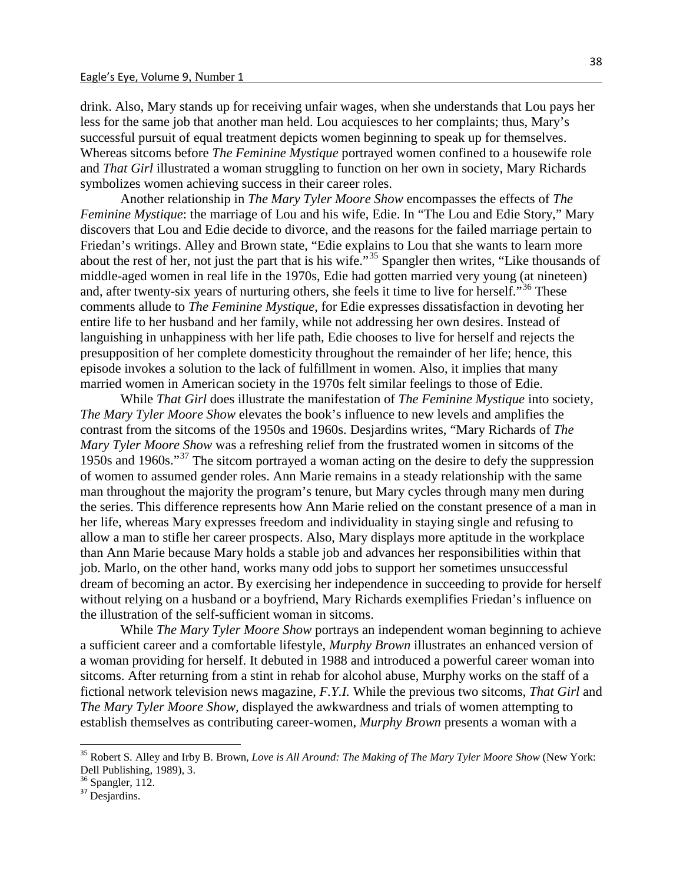drink. Also, Mary stands up for receiving unfair wages, when she understands that Lou pays her less for the same job that another man held. Lou acquiesces to her complaints; thus, Mary's successful pursuit of equal treatment depicts women beginning to speak up for themselves. Whereas sitcoms before *The Feminine Mystique* portrayed women confined to a housewife role and *That Girl* illustrated a woman struggling to function on her own in society, Mary Richards symbolizes women achieving success in their career roles.

Another relationship in *The Mary Tyler Moore Show* encompasses the effects of *The Feminine Mystique*: the marriage of Lou and his wife, Edie. In "The Lou and Edie Story," Mary discovers that Lou and Edie decide to divorce, and the reasons for the failed marriage pertain to Friedan's writings. Alley and Brown state, "Edie explains to Lou that she wants to learn more about the rest of her, not just the part that is his wife."[35](#page-28-0) Spangler then writes, "Like thousands of middle-aged women in real life in the 1970s, Edie had gotten married very young (at nineteen) and, after twenty-six years of nurturing others, she feels it time to live for herself."<sup>[36](#page-28-1)</sup> These comments allude to *The Feminine Mystique*, for Edie expresses dissatisfaction in devoting her entire life to her husband and her family, while not addressing her own desires. Instead of languishing in unhappiness with her life path, Edie chooses to live for herself and rejects the presupposition of her complete domesticity throughout the remainder of her life; hence, this episode invokes a solution to the lack of fulfillment in women. Also, it implies that many married women in American society in the 1970s felt similar feelings to those of Edie.

While *That Girl* does illustrate the manifestation of *The Feminine Mystique* into society, *The Mary Tyler Moore Show* elevates the book's influence to new levels and amplifies the contrast from the sitcoms of the 1950s and 1960s. Desjardins writes, "Mary Richards of *The Mary Tyler Moore Show* was a refreshing relief from the frustrated women in sitcoms of the 1950s and 1960s."[37](#page-28-2) The sitcom portrayed a woman acting on the desire to defy the suppression of women to assumed gender roles. Ann Marie remains in a steady relationship with the same man throughout the majority the program's tenure, but Mary cycles through many men during the series. This difference represents how Ann Marie relied on the constant presence of a man in her life, whereas Mary expresses freedom and individuality in staying single and refusing to allow a man to stifle her career prospects. Also, Mary displays more aptitude in the workplace than Ann Marie because Mary holds a stable job and advances her responsibilities within that job. Marlo, on the other hand, works many odd jobs to support her sometimes unsuccessful dream of becoming an actor. By exercising her independence in succeeding to provide for herself without relying on a husband or a boyfriend, Mary Richards exemplifies Friedan's influence on the illustration of the self-sufficient woman in sitcoms.

While *The Mary Tyler Moore Show* portrays an independent woman beginning to achieve a sufficient career and a comfortable lifestyle, *Murphy Brown* illustrates an enhanced version of a woman providing for herself. It debuted in 1988 and introduced a powerful career woman into sitcoms. After returning from a stint in rehab for alcohol abuse, Murphy works on the staff of a fictional network television news magazine, *F.Y.I.* While the previous two sitcoms, *That Girl* and *The Mary Tyler Moore Show,* displayed the awkwardness and trials of women attempting to establish themselves as contributing career-women, *Murphy Brown* presents a woman with a

<span id="page-28-1"></span> $\frac{36}{37}$  Spangler, 112.

<span id="page-28-0"></span><sup>35</sup> Robert S. Alley and Irby B. Brown, *Love is All Around: The Making of The Mary Tyler Moore Show* (New York: Dell Publishing, 1989), 3.

<span id="page-28-2"></span>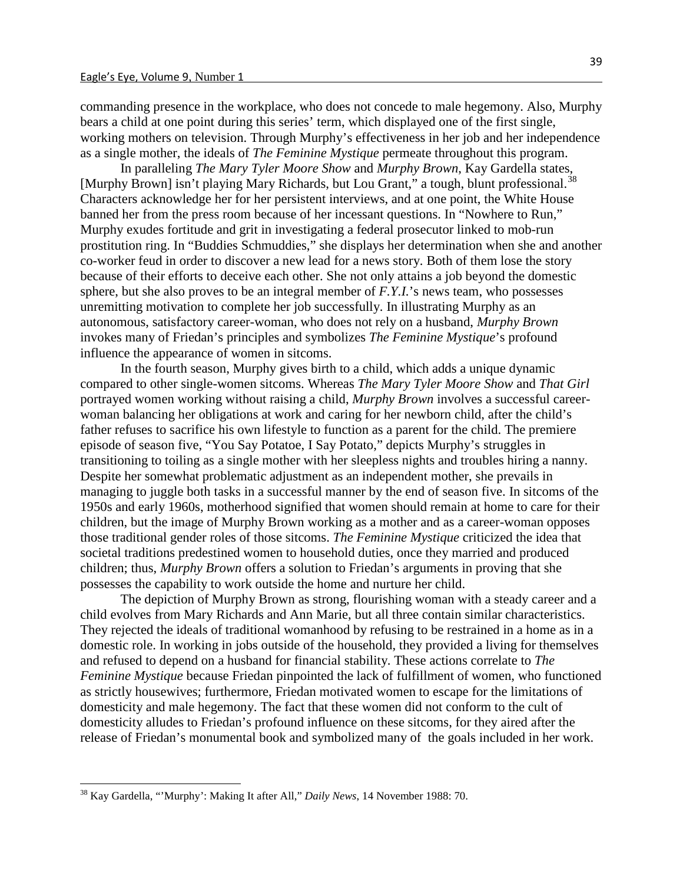commanding presence in the workplace, who does not concede to male hegemony. Also, Murphy bears a child at one point during this series' term, which displayed one of the first single, working mothers on television. Through Murphy's effectiveness in her job and her independence as a single mother, the ideals of *The Feminine Mystique* permeate throughout this program.

In paralleling *The Mary Tyler Moore Show* and *Murphy Brown*, Kay Gardella states, [Murphy Brown] isn't playing Mary Richards, but Lou Grant," a tough, blunt professional.<sup>[38](#page-29-0)</sup> Characters acknowledge her for her persistent interviews, and at one point, the White House banned her from the press room because of her incessant questions. In "Nowhere to Run," Murphy exudes fortitude and grit in investigating a federal prosecutor linked to mob-run prostitution ring. In "Buddies Schmuddies," she displays her determination when she and another co-worker feud in order to discover a new lead for a news story. Both of them lose the story because of their efforts to deceive each other. She not only attains a job beyond the domestic sphere, but she also proves to be an integral member of *F.Y.I.*'s news team, who possesses unremitting motivation to complete her job successfully. In illustrating Murphy as an autonomous, satisfactory career-woman, who does not rely on a husband, *Murphy Brown* invokes many of Friedan's principles and symbolizes *The Feminine Mystique*'s profound influence the appearance of women in sitcoms.

In the fourth season, Murphy gives birth to a child, which adds a unique dynamic compared to other single-women sitcoms. Whereas *The Mary Tyler Moore Show* and *That Girl* portrayed women working without raising a child, *Murphy Brown* involves a successful careerwoman balancing her obligations at work and caring for her newborn child, after the child's father refuses to sacrifice his own lifestyle to function as a parent for the child. The premiere episode of season five, "You Say Potatoe, I Say Potato," depicts Murphy's struggles in transitioning to toiling as a single mother with her sleepless nights and troubles hiring a nanny. Despite her somewhat problematic adjustment as an independent mother, she prevails in managing to juggle both tasks in a successful manner by the end of season five. In sitcoms of the 1950s and early 1960s, motherhood signified that women should remain at home to care for their children, but the image of Murphy Brown working as a mother and as a career-woman opposes those traditional gender roles of those sitcoms. *The Feminine Mystique* criticized the idea that societal traditions predestined women to household duties, once they married and produced children; thus, *Murphy Brown* offers a solution to Friedan's arguments in proving that she possesses the capability to work outside the home and nurture her child.

The depiction of Murphy Brown as strong, flourishing woman with a steady career and a child evolves from Mary Richards and Ann Marie, but all three contain similar characteristics. They rejected the ideals of traditional womanhood by refusing to be restrained in a home as in a domestic role. In working in jobs outside of the household, they provided a living for themselves and refused to depend on a husband for financial stability. These actions correlate to *The Feminine Mystique* because Friedan pinpointed the lack of fulfillment of women, who functioned as strictly housewives; furthermore, Friedan motivated women to escape for the limitations of domesticity and male hegemony. The fact that these women did not conform to the cult of domesticity alludes to Friedan's profound influence on these sitcoms, for they aired after the release of Friedan's monumental book and symbolized many of the goals included in her work.

<span id="page-29-0"></span><sup>38</sup> Kay Gardella, "'Murphy': Making It after All," *Daily News*, 14 November 1988: 70.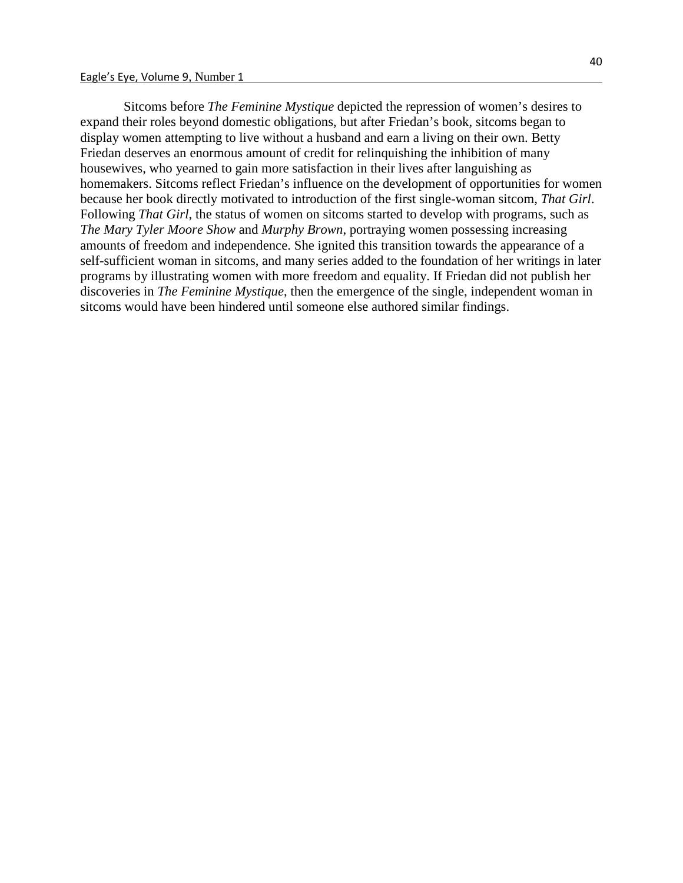Sitcoms before *The Feminine Mystique* depicted the repression of women's desires to expand their roles beyond domestic obligations, but after Friedan's book, sitcoms began to display women attempting to live without a husband and earn a living on their own. Betty Friedan deserves an enormous amount of credit for relinquishing the inhibition of many housewives, who yearned to gain more satisfaction in their lives after languishing as homemakers. Sitcoms reflect Friedan's influence on the development of opportunities for women because her book directly motivated to introduction of the first single-woman sitcom, *That Girl*. Following *That Girl*, the status of women on sitcoms started to develop with programs, such as *The Mary Tyler Moore Show* and *Murphy Brown*, portraying women possessing increasing amounts of freedom and independence. She ignited this transition towards the appearance of a self-sufficient woman in sitcoms, and many series added to the foundation of her writings in later programs by illustrating women with more freedom and equality. If Friedan did not publish her discoveries in *The Feminine Mystique*, then the emergence of the single, independent woman in sitcoms would have been hindered until someone else authored similar findings.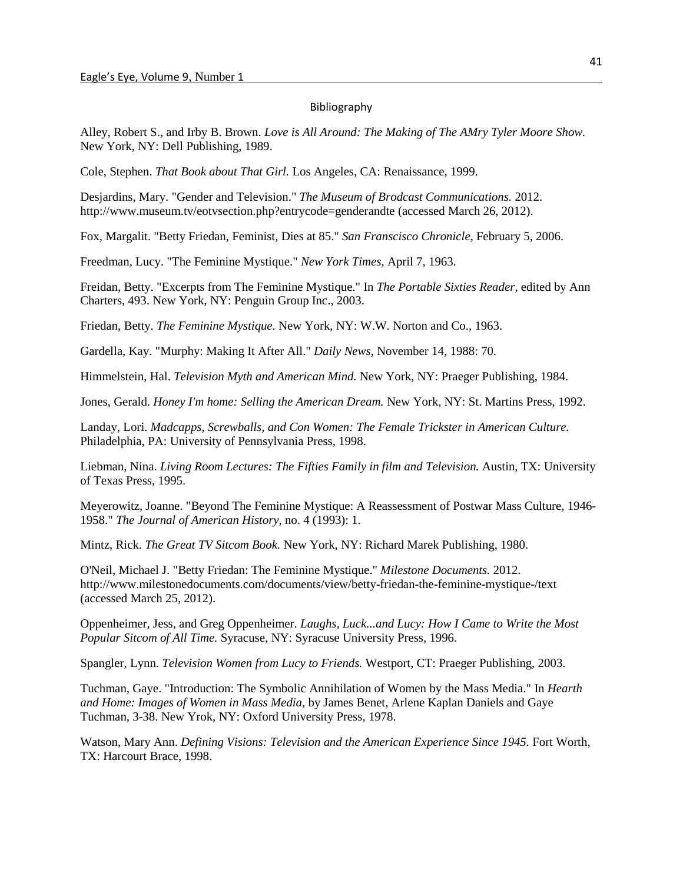#### Bibliography

Alley, Robert S., and Irby B. Brown. *Love is All Around: The Making of The AMry Tyler Moore Show.* New York, NY: Dell Publishing, 1989.

Cole, Stephen. *That Book about That Girl.* Los Angeles, CA: Renaissance, 1999.

Desjardins, Mary. "Gender and Television." *The Museum of Brodcast Communications.* 2012. http://www.museum.tv/eotvsection.php?entrycode=genderandte (accessed March 26, 2012).

Fox, Margalit. "Betty Friedan, Feminist, Dies at 85." *San Franscisco Chronicle*, February 5, 2006.

Freedman, Lucy. "The Feminine Mystique." *New York Times*, April 7, 1963.

Freidan, Betty. "Excerpts from The Feminine Mystique." In *The Portable Sixties Reader*, edited by Ann Charters, 493. New York, NY: Penguin Group Inc., 2003.

Friedan, Betty. *The Feminine Mystique.* New York, NY: W.W. Norton and Co., 1963.

Gardella, Kay. "Murphy: Making It After All." *Daily News*, November 14, 1988: 70.

Himmelstein, Hal. *Television Myth and American Mind.* New York, NY: Praeger Publishing, 1984.

Jones, Gerald. *Honey I'm home: Selling the American Dream.* New York, NY: St. Martins Press, 1992.

Landay, Lori. *Madcapps, Screwballs, and Con Women: The Female Trickster in American Culture.* Philadelphia, PA: University of Pennsylvania Press, 1998.

Liebman, Nina. *Living Room Lectures: The Fifties Family in film and Television.* Austin, TX: University of Texas Press, 1995.

Meyerowitz, Joanne. "Beyond The Feminine Mystique: A Reassessment of Postwar Mass Culture, 1946- 1958." *The Journal of American History*, no. 4 (1993): 1.

Mintz, Rick. *The Great TV Sitcom Book.* New York, NY: Richard Marek Publishing, 1980.

O'Neil, Michael J. "Betty Friedan: The Feminine Mystique." *Milestone Documents.* 2012. http://www.milestonedocuments.com/documents/view/betty-friedan-the-feminine-mystique-/text (accessed March 25, 2012).

Oppenheimer, Jess, and Greg Oppenheimer. *Laughs, Luck...and Lucy: How I Came to Write the Most Popular Sitcom of All Time.* Syracuse, NY: Syracuse University Press, 1996.

Spangler, Lynn. *Television Women from Lucy to Friends.* Westport, CT: Praeger Publishing, 2003.

Tuchman, Gaye. "Introduction: The Symbolic Annihilation of Women by the Mass Media." In *Hearth and Home: Images of Women in Mass Media*, by James Benet, Arlene Kaplan Daniels and Gaye Tuchman, 3-38. New Yrok, NY: Oxford University Press, 1978.

Watson, Mary Ann. *Defining Visions: Television and the American Experience Since 1945.* Fort Worth, TX: Harcourt Brace, 1998.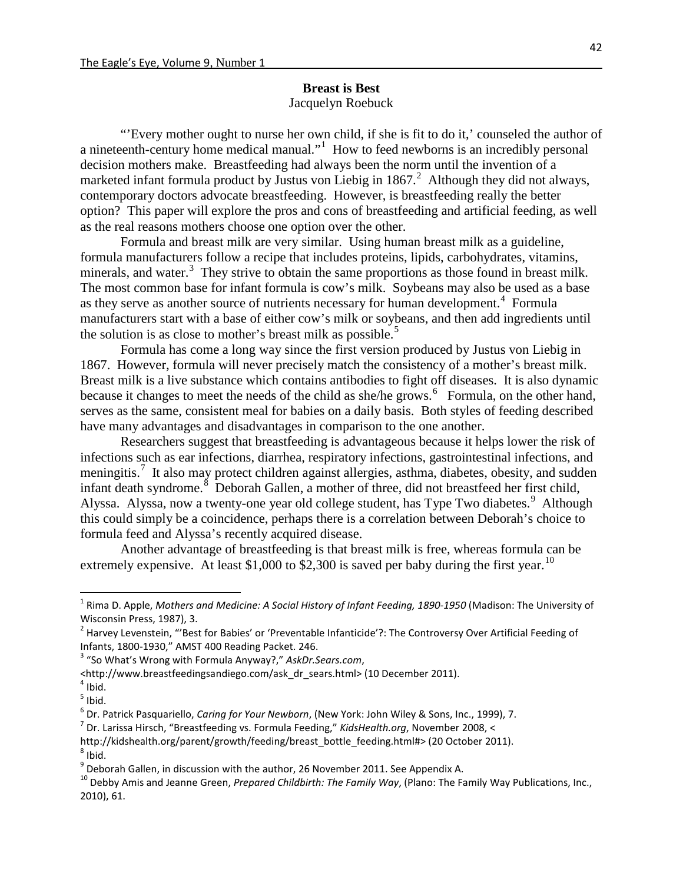### **Breast is Best** Jacquelyn Roebuck

"'Every mother ought to nurse her own child, if she is fit to do it,' counseled the author of a nineteenth-century home medical manual."<sup>[1](#page-32-0)</sup> How to feed newborns is an incredibly personal decision mothers make. Breastfeeding had always been the norm until the invention of a marketed infant formula product by Justus von Liebig in 1867. $^2$  $^2$  Although they did not always, contemporary doctors advocate breastfeeding. However, is breastfeeding really the better option? This paper will explore the pros and cons of breastfeeding and artificial feeding, as well as the real reasons mothers choose one option over the other.

Formula and breast milk are very similar. Using human breast milk as a guideline, formula manufacturers follow a recipe that includes proteins, lipids, carbohydrates, vitamins, minerals, and water.<sup>[3](#page-32-2)</sup> They strive to obtain the same proportions as those found in breast milk. The most common base for infant formula is cow's milk. Soybeans may also be used as a base as they serve as another source of nutrients necessary for human development.<sup>[4](#page-32-3)</sup> Formula manufacturers start with a base of either cow's milk or soybeans, and then add ingredients until the solution is as close to mother's breast milk as possible.<sup>[5](#page-32-4)</sup>

Formula has come a long way since the first version produced by Justus von Liebig in 1867. However, formula will never precisely match the consistency of a mother's breast milk. Breast milk is a live substance which contains antibodies to fight off diseases. It is also dynamic because it changes to meet the needs of the child as she/he grows.<sup>[6](#page-32-5)</sup> Formula, on the other hand, serves as the same, consistent meal for babies on a daily basis. Both styles of feeding described have many advantages and disadvantages in comparison to the one another.

Researchers suggest that breastfeeding is advantageous because it helps lower the risk of infections such as ear infections, diarrhea, respiratory infections, gastrointestinal infections, and meningitis.<sup>[7](#page-32-6)</sup> It also may protect children against allergies, asthma, diabetes, obesity, and sudden infant death syndrome.<sup>[8](#page-32-7)</sup> Deborah Gallen, a mother of three, did not breastfeed her first child, Alyssa. Alyssa, now a twenty-one year old college student, has Type Two diabetes.<sup>[9](#page-32-8)</sup> Although this could simply be a coincidence, perhaps there is a correlation between Deborah's choice to formula feed and Alyssa's recently acquired disease.

Another advantage of breastfeeding is that breast milk is free, whereas formula can be extremely expensive. At least \$1,000 to \$2,300 is saved per baby during the first year.<sup>[10](#page-32-9)</sup>

<span id="page-32-6"></span>

<span id="page-32-7"></span>http://kidshealth.org/parent/growth/feeding/breast\_bottle\_feeding.html#> (20 October 2011).<br><sup>8</sup> Ibid.<br><sup>9</sup> Deborah Gallen, in discussion with the author, 26 November 2011. See Appendix A.

<span id="page-32-0"></span> <sup>1</sup> Rima D. Apple, *Mothers and Medicine: A Social History of Infant Feeding, 1890-1950* (Madison: The University of Wisconsin Press, 1987), 3.

<span id="page-32-1"></span><sup>&</sup>lt;sup>2</sup> Harvey Levenstein, "'Best for Babies' or 'Preventable Infanticide'?: The Controversy Over Artificial Feeding of Infants, 1800-1930," AMST 400 Reading Packet. 246. <sup>3</sup> "So What's Wrong with Formula Anyway?," *AskDr.Sears.com*,

<span id="page-32-2"></span><sup>&</sup>lt;http://www.breastfeedingsandiego.com/ask\_dr\_sears.html> (10 December 2011). <sup>4</sup> Ibid.

<span id="page-32-4"></span><span id="page-32-3"></span> $<sup>5</sup>$  Ibid.</sup>

<span id="page-32-5"></span><sup>&</sup>lt;sup>6</sup> Dr. Patrick Pasquariello, *Caring for Your Newborn*, (New York: John Wiley & Sons, Inc., 1999), 7.<br><sup>7</sup> Dr. Larissa Hirsch, "Breastfeeding vs. Formula Feeding," *KidsHealth.org*, November 2008, <

<span id="page-32-9"></span><span id="page-32-8"></span><sup>&</sup>lt;sup>10</sup> Debby Amis and Jeanne Green, Prepared Childbirth: The Family Way, (Plano: The Family Way Publications, Inc., 2010), 61.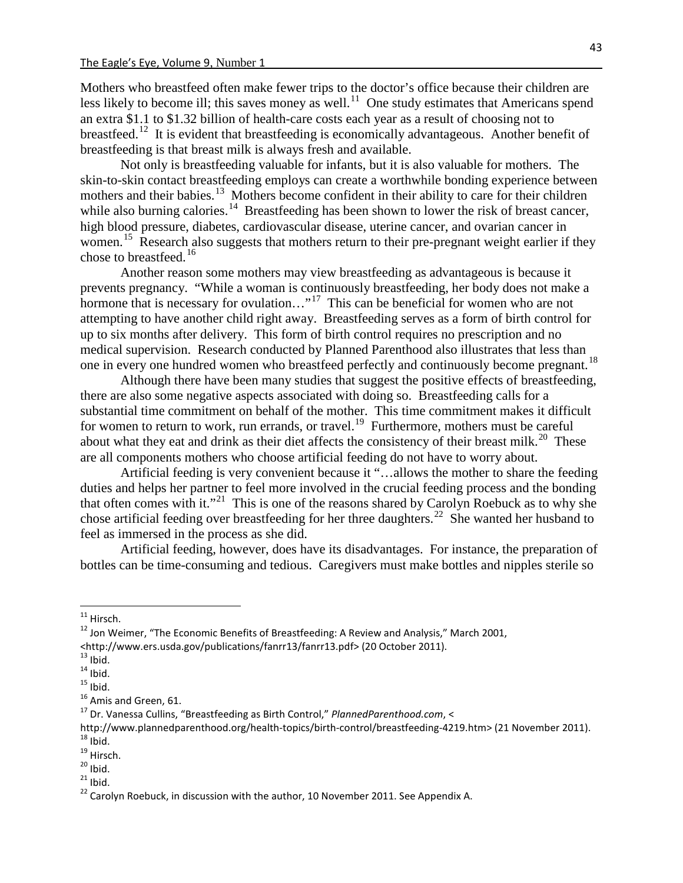Mothers who breastfeed often make fewer trips to the doctor's office because their children are less likely to become ill; this saves money as well.<sup>11</sup> One study estimates that Americans spend an extra \$1.1 to \$1.32 billion of health-care costs each year as a result of choosing not to breastfeed.<sup>12</sup> It is evident that breastfeeding is economically advantageous. Another benefit of breastfeeding is that breast milk is always fresh and available.

Not only is breastfeeding valuable for infants, but it is also valuable for mothers. The skin-to-skin contact breastfeeding employs can create a worthwhile bonding experience between mothers and their babies.<sup>[13](#page-33-2)</sup> Mothers become confident in their ability to care for their children while also burning calories.<sup>[14](#page-33-3)</sup> Breastfeeding has been shown to lower the risk of breast cancer, high blood pressure, diabetes, cardiovascular disease, uterine cancer, and ovarian cancer in women.<sup>[15](#page-33-4)</sup> Research also suggests that mothers return to their pre-pregnant weight earlier if they chose to breastfeed. [16](#page-33-5)

Another reason some mothers may view breastfeeding as advantageous is because it prevents pregnancy. "While a woman is continuously breastfeeding, her body does not make a hormone that is necessary for ovulation..."<sup>17</sup> This can be beneficial for women who are not attempting to have another child right away. Breastfeeding serves as a form of birth control for up to six months after delivery. This form of birth control requires no prescription and no medical supervision. Research conducted by Planned Parenthood also illustrates that less than one in every one hundred women who breastfeed perfectly and continuously become pregnant.<sup>[18](#page-33-7)</sup>

Although there have been many studies that suggest the positive effects of breastfeeding, there are also some negative aspects associated with doing so. Breastfeeding calls for a substantial time commitment on behalf of the mother. This time commitment makes it difficult for women to return to work, run errands, or travel.<sup>19</sup> Furthermore, mothers must be careful about what they eat and drink as their diet affects the consistency of their breast milk.<sup>[20](#page-33-9)</sup> These are all components mothers who choose artificial feeding do not have to worry about.

Artificial feeding is very convenient because it "…allows the mother to share the feeding duties and helps her partner to feel more involved in the crucial feeding process and the bonding that often comes with it."[21](#page-33-10) This is one of the reasons shared by Carolyn Roebuck as to why she chose artificial feeding over breastfeeding for her three daughters.<sup>22</sup> She wanted her husband to feel as immersed in the process as she did.

Artificial feeding, however, does have its disadvantages. For instance, the preparation of bottles can be time-consuming and tedious. Caregivers must make bottles and nipples sterile so

<span id="page-33-11"></span><span id="page-33-10"></span>

<span id="page-33-1"></span><span id="page-33-0"></span><sup>&</sup>lt;sup>11</sup> Hirsch.<br><sup>12</sup> Jon Weimer, "The Economic Benefits of Breastfeeding: A Review and Analysis," March 2001,<br><http://www.ers.usda.gov/publications/fanrr13/fanrr13.pdf> (20 October 2011).

<span id="page-33-4"></span>

<span id="page-33-5"></span>

<span id="page-33-3"></span><span id="page-33-2"></span><sup>&</sup>lt;sup>13</sup> Ibid.<br><sup>14</sup> Ibid. <sup>14</sup><br><sup>15</sup> Ibid. <sup>15</sup> Amis and Green, 61. 16 Amis and Green, 61. 17 Dr. Vanessa Cullins, "Breastfeeding as Birth Control," *PlannedParenthood.com*, <

<span id="page-33-7"></span><span id="page-33-6"></span>http://www.plannedparenthood.org/health-topics/birth-control/breastfeeding-4219.htm> (21 November 2011).<br><sup>18</sup> lbid.<br><sup>19</sup> Hirsch.<br><sup>20</sup> lbid.<br><sup>21</sup> lbid.<br><sup>22</sup> Carolyn Roebuck, in discussion with the author, 10 November 2011.

<span id="page-33-8"></span>

<span id="page-33-9"></span>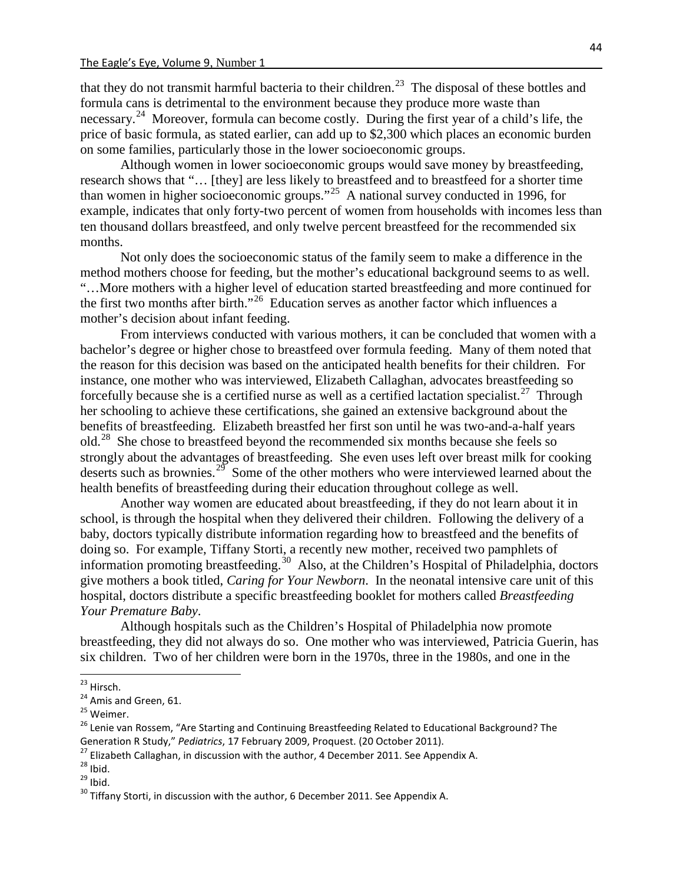that they do not transmit harmful bacteria to their children.<sup>23</sup> The disposal of these bottles and formula cans is detrimental to the environment because they produce more waste than necessary.<sup>[24](#page-34-1)</sup> Moreover, formula can become costly. During the first year of a child's life, the price of basic formula, as stated earlier, can add up to \$2,300 which places an economic burden on some families, particularly those in the lower socioeconomic groups.

Although women in lower socioeconomic groups would save money by breastfeeding, research shows that "… [they] are less likely to breastfeed and to breastfeed for a shorter time than women in higher socioeconomic groups."[25](#page-34-2) A national survey conducted in 1996, for example, indicates that only forty-two percent of women from households with incomes less than ten thousand dollars breastfeed, and only twelve percent breastfeed for the recommended six months.

Not only does the socioeconomic status of the family seem to make a difference in the method mothers choose for feeding, but the mother's educational background seems to as well. "…More mothers with a higher level of education started breastfeeding and more continued for the first two months after birth."<sup>[26](#page-34-3)</sup> Education serves as another factor which influences a mother's decision about infant feeding.

From interviews conducted with various mothers, it can be concluded that women with a bachelor's degree or higher chose to breastfeed over formula feeding. Many of them noted that the reason for this decision was based on the anticipated health benefits for their children. For instance, one mother who was interviewed, Elizabeth Callaghan, advocates breastfeeding so forcefully because she is a certified nurse as well as a certified lactation specialist.<sup>[27](#page-34-4)</sup> Through her schooling to achieve these certifications, she gained an extensive background about the benefits of breastfeeding. Elizabeth breastfed her first son until he was two-and-a-half years old.<sup>[28](#page-34-5)</sup> She chose to breastfeed beyond the recommended six months because she feels so strongly about the advantages of breastfeeding. She even uses left over breast milk for cooking deserts such as brownies.<sup>29</sup> Some of the other mothers who were interviewed learned about the health benefits of breastfeeding during their education throughout college as well.

Another way women are educated about breastfeeding, if they do not learn about it in school, is through the hospital when they delivered their children. Following the delivery of a baby, doctors typically distribute information regarding how to breastfeed and the benefits of doing so. For example, Tiffany Storti, a recently new mother, received two pamphlets of information promoting breastfeeding.<sup>[30](#page-34-7)</sup> Also, at the Children's Hospital of Philadelphia, doctors give mothers a book titled, *Caring for Your Newborn*. In the neonatal intensive care unit of this hospital, doctors distribute a specific breastfeeding booklet for mothers called *Breastfeeding Your Premature Baby*.

Although hospitals such as the Children's Hospital of Philadelphia now promote breastfeeding, they did not always do so. One mother who was interviewed, Patricia Guerin, has six children. Two of her children were born in the 1970s, three in the 1980s, and one in the

<span id="page-34-1"></span>

<span id="page-34-3"></span><span id="page-34-2"></span>

<span id="page-34-0"></span><sup>&</sup>lt;sup>23</sup> Hirsch.<br><sup>24</sup> Amis and Green, 61.<br><sup>25</sup> Weimer.<br><sup>26</sup> Lenie van Rossem, "Are Starting and Continuing Breastfeeding Related to Educational Background? The<br>Generation R Study," *Pediatrics*, 17 February 2009, Proquest. (20

<span id="page-34-5"></span><span id="page-34-4"></span><sup>&</sup>lt;sup>27</sup> Elizabeth Callaghan, in discussion with the author, 4 December 2011. See Appendix A.<br><sup>28</sup> Ibid.<br><sup>29</sup> Ibid.<br><sup>30</sup> Tiffany Storti, in discussion with the author, 6 December 2011. See Appendix A.

<span id="page-34-6"></span>

<span id="page-34-7"></span>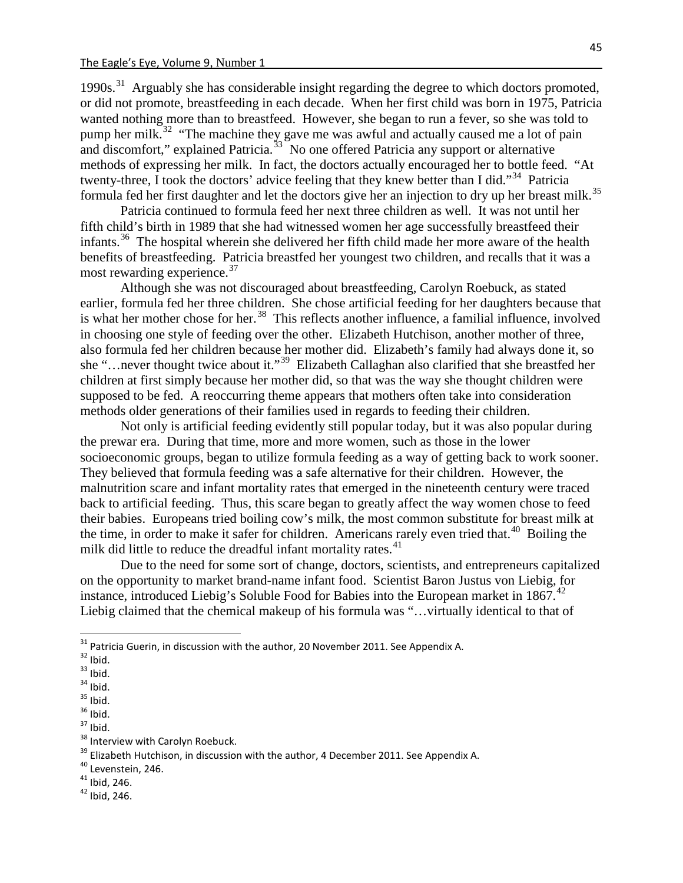1990s.<sup>[31](#page-35-0)</sup> Arguably she has considerable insight regarding the degree to which doctors promoted, or did not promote, breastfeeding in each decade. When her first child was born in 1975, Patricia wanted nothing more than to breastfeed. However, she began to run a fever, so she was told to pump her milk.<sup>[32](#page-35-1)</sup> "The machine they gave me was awful and actually caused me a lot of pain and discomfort," explained Patricia.<sup>33</sup> No one offered Patricia any support or alternative methods of expressing her milk. In fact, the doctors actually encouraged her to bottle feed. "At twenty-three, I took the doctors' advice feeling that they knew better than I did."[34](#page-35-3) Patricia formula fed her first daughter and let the doctors give her an injection to dry up her breast milk.<sup>[35](#page-35-4)</sup>

Patricia continued to formula feed her next three children as well. It was not until her fifth child's birth in 1989 that she had witnessed women her age successfully breastfeed their infants.<sup>[36](#page-35-5)</sup> The hospital wherein she delivered her fifth child made her more aware of the health benefits of breastfeeding. Patricia breastfed her youngest two children, and recalls that it was a most rewarding experience.<sup>[37](#page-35-6)</sup>

Although she was not discouraged about breastfeeding, Carolyn Roebuck, as stated earlier, formula fed her three children. She chose artificial feeding for her daughters because that is what her mother chose for her.<sup>[38](#page-35-7)</sup> This reflects another influence, a familial influence, involved in choosing one style of feeding over the other. Elizabeth Hutchison, another mother of three, also formula fed her children because her mother did. Elizabeth's family had always done it, so she "…never thought twice about it."[39](#page-35-8) Elizabeth Callaghan also clarified that she breastfed her children at first simply because her mother did, so that was the way she thought children were supposed to be fed. A reoccurring theme appears that mothers often take into consideration methods older generations of their families used in regards to feeding their children.

Not only is artificial feeding evidently still popular today, but it was also popular during the prewar era. During that time, more and more women, such as those in the lower socioeconomic groups, began to utilize formula feeding as a way of getting back to work sooner. They believed that formula feeding was a safe alternative for their children. However, the malnutrition scare and infant mortality rates that emerged in the nineteenth century were traced back to artificial feeding. Thus, this scare began to greatly affect the way women chose to feed their babies. Europeans tried boiling cow's milk, the most common substitute for breast milk at the time, in order to make it safer for children. Americans rarely even tried that.<sup>40</sup> Boiling the milk did little to reduce the dreadful infant mortality rates.<sup>[41](#page-35-10)</sup>

Due to the need for some sort of change, doctors, scientists, and entrepreneurs capitalized on the opportunity to market brand-name infant food. Scientist Baron Justus von Liebig, for instance, introduced Liebig's Soluble Food for Babies into the European market in  $1867.^{42}$  $1867.^{42}$  $1867.^{42}$ Liebig claimed that the chemical makeup of his formula was "…virtually identical to that of

<span id="page-35-11"></span><span id="page-35-10"></span>

<span id="page-35-1"></span><span id="page-35-0"></span>

<span id="page-35-2"></span>

<span id="page-35-3"></span>

<span id="page-35-4"></span>

<span id="page-35-5"></span>

<span id="page-35-6"></span>

<span id="page-35-8"></span><span id="page-35-7"></span>

<sup>&</sup>lt;sup>31</sup> Patricia Guerin, in discussion with the author, 20 November 2011. See Appendix A.<br><sup>32</sup> Ibid.<br><sup>33</sup> Ibid.<br><sup>33</sup> Ibid.<br><sup>35</sup> Ibid.<br><sup>36</sup> Ibid.<br><sup>38</sup> Islians and Levenstein, 246.<br><sup>39</sup> Elizabeth Hutchison, in discussion with

<span id="page-35-9"></span>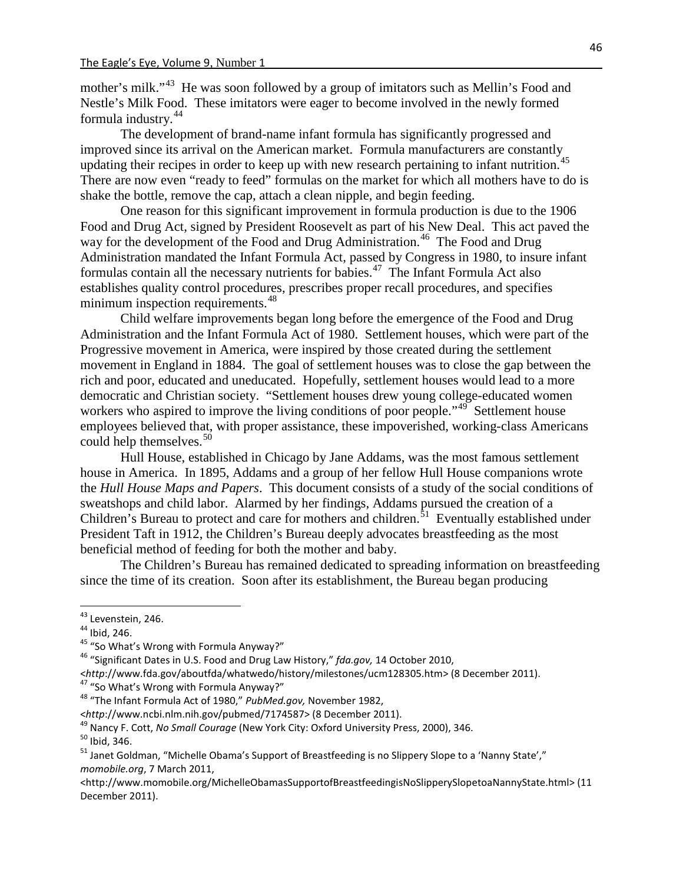mother's milk."<sup>43</sup> He was soon followed by a group of imitators such as Mellin's Food and Nestle's Milk Food. These imitators were eager to become involved in the newly formed formula industry. [44](#page-36-1)

The development of brand-name infant formula has significantly progressed and improved since its arrival on the American market. Formula manufacturers are constantly updating their recipes in order to keep up with new research pertaining to infant nutrition.<sup>45</sup> There are now even "ready to feed" formulas on the market for which all mothers have to do is shake the bottle, remove the cap, attach a clean nipple, and begin feeding.

One reason for this significant improvement in formula production is due to the 1906 Food and Drug Act, signed by President Roosevelt as part of his New Deal. This act paved the way for the development of the Food and Drug Administration.<sup>[46](#page-36-3)</sup> The Food and Drug Administration mandated the Infant Formula Act, passed by Congress in 1980, to insure infant formulas contain all the necessary nutrients for babies. [47](#page-36-4) The Infant Formula Act also establishes quality control procedures, prescribes proper recall procedures, and specifies minimum inspection requirements.<sup>[48](#page-36-5)</sup>

Child welfare improvements began long before the emergence of the Food and Drug Administration and the Infant Formula Act of 1980. Settlement houses, which were part of the Progressive movement in America, were inspired by those created during the settlement movement in England in 1884. The goal of settlement houses was to close the gap between the rich and poor, educated and uneducated. Hopefully, settlement houses would lead to a more democratic and Christian society. "Settlement houses drew young college-educated women workers who aspired to improve the living conditions of poor people."<sup>[49](#page-36-6)</sup> Settlement house employees believed that, with proper assistance, these impoverished, working-class Americans could help themselves.<sup>[50](#page-36-7)</sup>

Hull House, established in Chicago by Jane Addams, was the most famous settlement house in America. In 1895, Addams and a group of her fellow Hull House companions wrote the *Hull House Maps and Papers*. This document consists of a study of the social conditions of sweatshops and child labor. Alarmed by her findings, Addams pursued the creation of a Children's Bureau to protect and care for mothers and children.<sup>[51](#page-36-8)</sup> Eventually established under President Taft in 1912, the Children's Bureau deeply advocates breastfeeding as the most beneficial method of feeding for both the mother and baby.

The Children's Bureau has remained dedicated to spreading information on breastfeeding since the time of its creation. Soon after its establishment, the Bureau began producing

<span id="page-36-2"></span>

<span id="page-36-1"></span><span id="page-36-0"></span><sup>&</sup>lt;sup>43</sup> Levenstein, 246.<br><sup>44</sup> Ibid, 246.<br><sup>45</sup> "So What's Wrong with Formula Anyway?"<br><sup>46</sup> "Significant Dates in U.S. Food and Drug Law History," *fda.gov,* 14 October 2010,

<span id="page-36-4"></span><span id="page-36-3"></span><sup>&</sup>lt;*http*://www.fda.gov/aboutfda/whatwedo/history/milestones/ucm128305.htm> (8 December 2011). <sup>47</sup> "So What's Wrong with Formula Anyway?" <sup>48</sup> "The Infant Formula Act of 1980," *PubMed.gov,* November 1982,

<span id="page-36-8"></span><span id="page-36-7"></span>

<span id="page-36-6"></span><span id="page-36-5"></span> $\langle$ http://www.ncbi.nlm.nih.gov/pubmed/7174587> (8 December 2011).<br><sup>49</sup> Nancy F. Cott, *No Small Courage* (New York City: Oxford University Press, 2000), 346.<br><sup>50</sup> Ibid, 346.<br><sup>51</sup> Janet Goldman, "Michelle Obama's Support *momobile.org*, 7 March 2011,

<sup>&</sup>lt;http://www.momobile.org/MichelleObamasSupportofBreastfeedingisNoSlipperySlopetoaNannyState.html> (11 December 2011).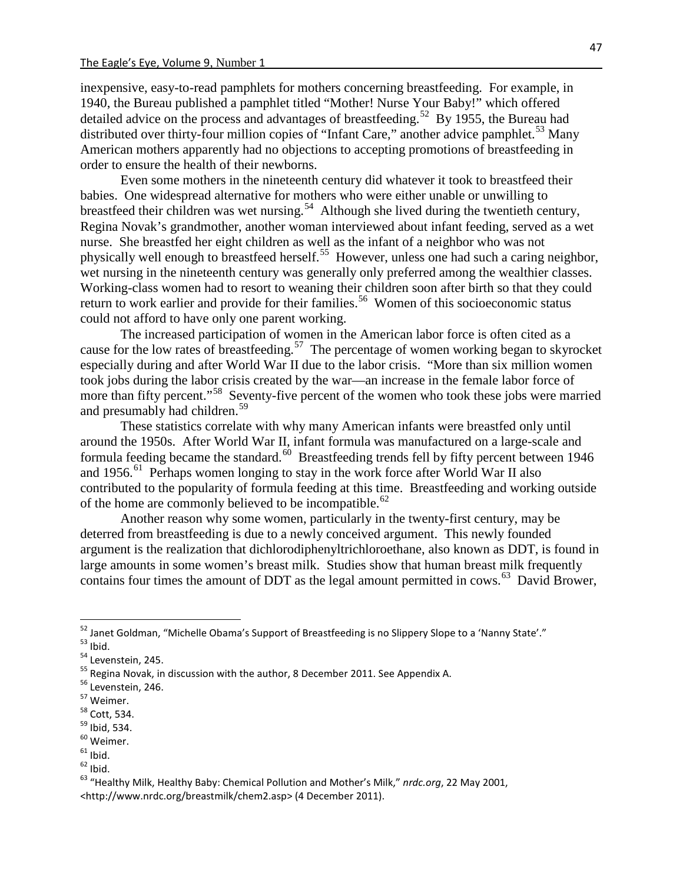inexpensive, easy-to-read pamphlets for mothers concerning breastfeeding. For example, in 1940, the Bureau published a pamphlet titled "Mother! Nurse Your Baby!" which offered detailed advice on the process and advantages of breastfeeding.<sup>52</sup> By 1955, the Bureau had distributed over thirty-four million copies of "Infant Care," another advice pamphlet.<sup>[53](#page-37-1)</sup> Many American mothers apparently had no objections to accepting promotions of breastfeeding in order to ensure the health of their newborns.

Even some mothers in the nineteenth century did whatever it took to breastfeed their babies. One widespread alternative for mothers who were either unable or unwilling to breastfeed their children was wet nursing.<sup>[54](#page-37-2)</sup> Although she lived during the twentieth century, Regina Novak's grandmother, another woman interviewed about infant feeding, served as a wet nurse. She breastfed her eight children as well as the infant of a neighbor who was not physically well enough to breastfeed herself.<sup>[55](#page-37-3)</sup> However, unless one had such a caring neighbor, wet nursing in the nineteenth century was generally only preferred among the wealthier classes. Working-class women had to resort to weaning their children soon after birth so that they could return to work earlier and provide for their families.<sup>56</sup> Women of this socioeconomic status could not afford to have only one parent working.

The increased participation of women in the American labor force is often cited as a cause for the low rates of breastfeeding.<sup>[57](#page-37-5)</sup> The percentage of women working began to skyrocket especially during and after World War II due to the labor crisis. "More than six million women took jobs during the labor crisis created by the war—an increase in the female labor force of more than fifty percent."<sup>[58](#page-37-6)</sup> Seventy-five percent of the women who took these jobs were married and presumably had children.<sup>[59](#page-37-7)</sup>

These statistics correlate with why many American infants were breastfed only until around the 1950s. After World War II, infant formula was manufactured on a large-scale and formula feeding became the standard.<sup>60</sup> Breastfeeding trends fell by fifty percent between 1946 and 1956.<sup>[61](#page-37-9)</sup> Perhaps women longing to stay in the work force after World War II also contributed to the popularity of formula feeding at this time. Breastfeeding and working outside of the home are commonly believed to be incompatible.<sup>[62](#page-37-10)</sup>

Another reason why some women, particularly in the twenty-first century, may be deterred from breastfeeding is due to a newly conceived argument. This newly founded argument is the realization that dichlorodiphenyltrichloroethane, also known as DDT, is found in large amounts in some women's breast milk. Studies show that human breast milk frequently contains four times the amount of DDT as the legal amount permitted in cows.<sup>63</sup> David Brower,

<span id="page-37-0"></span><sup>&</sup>lt;sup>52</sup> Janet Goldman, "Michelle Obama's Support of Breastfeeding is no Slippery Slope to a 'Nanny State'."<br><sup>54</sup> Levenstein, 245.<br><sup>55</sup> Regina Novak, in discussion with the author, 8 December 2011. See Appendix A.<br><sup>56</sup> Levenst

<span id="page-37-2"></span><span id="page-37-1"></span>

<span id="page-37-3"></span>

<span id="page-37-4"></span>

<span id="page-37-5"></span>

<span id="page-37-6"></span>

<span id="page-37-7"></span>

<span id="page-37-8"></span>

<span id="page-37-9"></span>

<span id="page-37-10"></span>

<span id="page-37-11"></span><sup>&</sup>lt;http://www.nrdc.org/breastmilk/chem2.asp> (4 December 2011).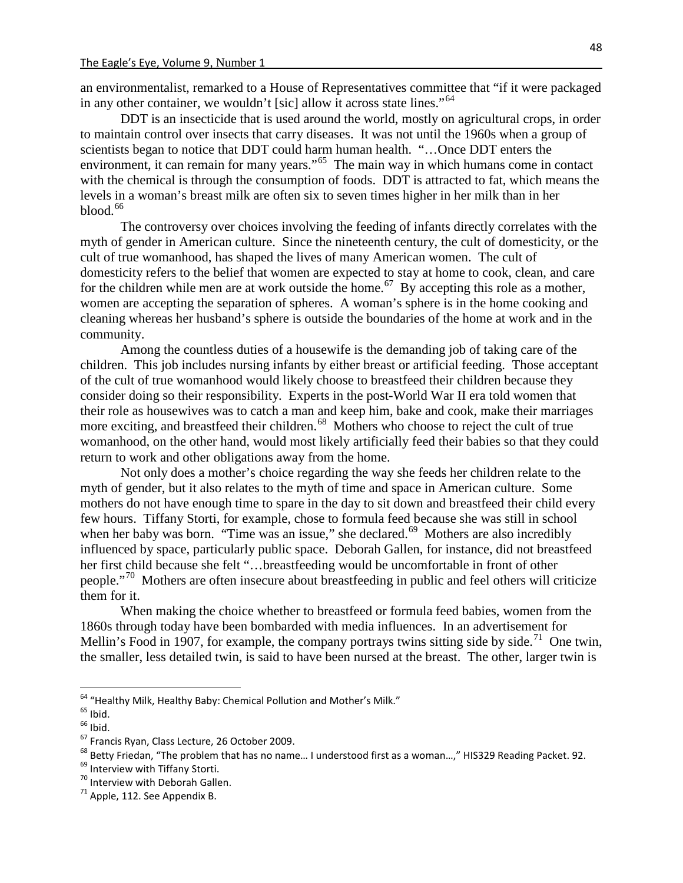an environmentalist, remarked to a House of Representatives committee that "if it were packaged in any other container, we wouldn't [sic] allow it across state lines."<sup>[64](#page-38-0)</sup>

DDT is an insecticide that is used around the world, mostly on agricultural crops, in order to maintain control over insects that carry diseases. It was not until the 1960s when a group of scientists began to notice that DDT could harm human health. "…Once DDT enters the environment, it can remain for many years."<sup>[65](#page-38-1)</sup> The main way in which humans come in contact with the chemical is through the consumption of foods. DDT is attracted to fat, which means the levels in a woman's breast milk are often six to seven times higher in her milk than in her  $b$ lood. $66$ 

The controversy over choices involving the feeding of infants directly correlates with the myth of gender in American culture. Since the nineteenth century, the cult of domesticity, or the cult of true womanhood, has shaped the lives of many American women. The cult of domesticity refers to the belief that women are expected to stay at home to cook, clean, and care for the children while men are at work outside the home.<sup>[67](#page-38-3)</sup> By accepting this role as a mother, women are accepting the separation of spheres. A woman's sphere is in the home cooking and cleaning whereas her husband's sphere is outside the boundaries of the home at work and in the community.

Among the countless duties of a housewife is the demanding job of taking care of the children. This job includes nursing infants by either breast or artificial feeding. Those acceptant of the cult of true womanhood would likely choose to breastfeed their children because they consider doing so their responsibility. Experts in the post-World War II era told women that their role as housewives was to catch a man and keep him, bake and cook, make their marriages more exciting, and breastfeed their children.<sup>68</sup> Mothers who choose to reject the cult of true womanhood, on the other hand, would most likely artificially feed their babies so that they could return to work and other obligations away from the home.

Not only does a mother's choice regarding the way she feeds her children relate to the myth of gender, but it also relates to the myth of time and space in American culture. Some mothers do not have enough time to spare in the day to sit down and breastfeed their child every few hours. Tiffany Storti, for example, chose to formula feed because she was still in school when her baby was born. "Time was an issue," she declared.<sup>69</sup> Mothers are also incredibly influenced by space, particularly public space. Deborah Gallen, for instance, did not breastfeed her first child because she felt "…breastfeeding would be uncomfortable in front of other people."[70](#page-38-6) Mothers are often insecure about breastfeeding in public and feel others will criticize them for it.

When making the choice whether to breastfeed or formula feed babies, women from the 1860s through today have been bombarded with media influences. In an advertisement for Mellin's Food in 1907, for example, the company portrays twins sitting side by side.<sup>71</sup> One twin, the smaller, less detailed twin, is said to have been nursed at the breast. The other, larger twin is

<span id="page-38-2"></span>

<span id="page-38-4"></span><span id="page-38-3"></span>

<span id="page-38-1"></span><span id="page-38-0"></span><sup>&</sup>lt;sup>64</sup> "Healthy Milk, Healthy Baby: Chemical Pollution and Mother's Milk."<br>
<sup>65</sup> Ibid.<br>
<sup>66</sup> Ibid.<br>
<sup>67</sup> Francis Ryan, Class Lecture, 26 October 2009.<br>
<sup>68</sup> Betty Friedan, "The problem that has no name... I understood first

<span id="page-38-5"></span>

<span id="page-38-6"></span>

<span id="page-38-7"></span>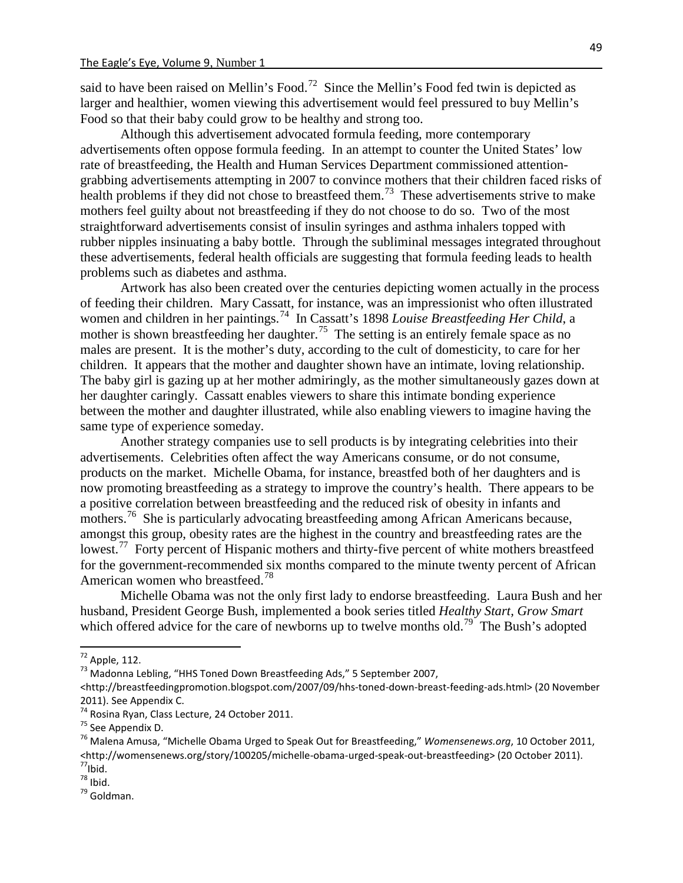said to have been raised on Mellin's Food.<sup>72</sup> Since the Mellin's Food fed twin is depicted as larger and healthier, women viewing this advertisement would feel pressured to buy Mellin's Food so that their baby could grow to be healthy and strong too.

Although this advertisement advocated formula feeding, more contemporary advertisements often oppose formula feeding. In an attempt to counter the United States' low rate of breastfeeding, the Health and Human Services Department commissioned attentiongrabbing advertisements attempting in 2007 to convince mothers that their children faced risks of health problems if they did not chose to breastfeed them.<sup>[73](#page-39-1)</sup> These advertisements strive to make mothers feel guilty about not breastfeeding if they do not choose to do so. Two of the most straightforward advertisements consist of insulin syringes and asthma inhalers topped with rubber nipples insinuating a baby bottle. Through the subliminal messages integrated throughout these advertisements, federal health officials are suggesting that formula feeding leads to health problems such as diabetes and asthma.

Artwork has also been created over the centuries depicting women actually in the process of feeding their children. Mary Cassatt, for instance, was an impressionist who often illustrated women and children in her paintings.<sup>[74](#page-39-2)</sup> In Cassatt's 1898 *Louise Breastfeeding Her Child*, a mother is shown breastfeeding her daughter.<sup>[75](#page-39-3)</sup> The setting is an entirely female space as no males are present. It is the mother's duty, according to the cult of domesticity, to care for her children. It appears that the mother and daughter shown have an intimate, loving relationship. The baby girl is gazing up at her mother admiringly, as the mother simultaneously gazes down at her daughter caringly. Cassatt enables viewers to share this intimate bonding experience between the mother and daughter illustrated, while also enabling viewers to imagine having the same type of experience someday.

Another strategy companies use to sell products is by integrating celebrities into their advertisements. Celebrities often affect the way Americans consume, or do not consume, products on the market. Michelle Obama, for instance, breastfed both of her daughters and is now promoting breastfeeding as a strategy to improve the country's health. There appears to be a positive correlation between breastfeeding and the reduced risk of obesity in infants and mothers.<sup>[76](#page-39-4)</sup> She is particularly advocating breastfeeding among African Americans because, amongst this group, obesity rates are the highest in the country and breastfeeding rates are the lowest.<sup>77</sup> Forty percent of Hispanic mothers and thirty-five percent of white mothers breastfeed for the government-recommended six months compared to the minute twenty percent of African American women who breastfeed.<sup>[78](#page-39-6)</sup>

Michelle Obama was not the only first lady to endorse breastfeeding. Laura Bush and her husband, President George Bush, implemented a book series titled *Healthy Start, Grow Smart* which offered advice for the care of newborns up to twelve months old.<sup>[79](#page-39-7)</sup> The Bush's adopted

49

<span id="page-39-7"></span> $^{79}$  Goldman

<span id="page-39-0"></span><sup>&</sup>lt;sup>72</sup> Apple, 112.<br><sup>73</sup> Madonna Lebling, "HHS Toned Down Breastfeeding Ads," 5 September 2007,

<span id="page-39-1"></span><sup>&</sup>lt;http://breastfeedingpromotion.blogspot.com/2007/09/hhs-toned-down-breast-feeding-ads.html> (20 November 2011). See Appendix C.<br><sup>74</sup> Rosina Ryan, Class Lecture, 24 October 2011.

<span id="page-39-4"></span><span id="page-39-3"></span><span id="page-39-2"></span><sup>&</sup>lt;sup>75</sup> See Appendix D.<br><sup>76</sup> Malena Amusa, "Michelle Obama Urged to Speak Out for Breastfeeding," *Womensenews.org*, 10 October 2011, <http://womensenews.org/story/100205/michelle-obama-urged-speak-out-breastfeeding> (20 October 2011).<br><sup>77</sup>Ibid.<br><sup>78</sup>Ibid.

<span id="page-39-6"></span><span id="page-39-5"></span>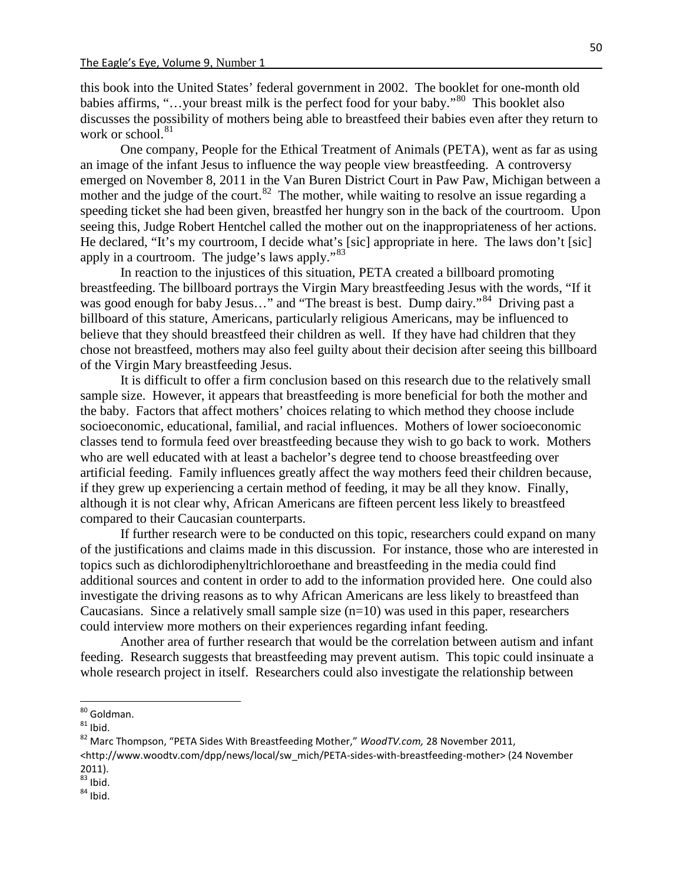this book into the United States' federal government in 2002. The booklet for one-month old babies affirms, "…your breast milk is the perfect food for your baby."[80](#page-40-0) This booklet also discusses the possibility of mothers being able to breastfeed their babies even after they return to work or school.<sup>[81](#page-40-1)</sup>

One company, People for the Ethical Treatment of Animals (PETA), went as far as using an image of the infant Jesus to influence the way people view breastfeeding. A controversy emerged on November 8, 2011 in the Van Buren District Court in Paw Paw, Michigan between a mother and the judge of the court.<sup>82</sup> The mother, while waiting to resolve an issue regarding a speeding ticket she had been given, breastfed her hungry son in the back of the courtroom. Upon seeing this, Judge Robert Hentchel called the mother out on the inappropriateness of her actions. He declared, "It's my courtroom, I decide what's [sic] appropriate in here. The laws don't [sic] apply in a courtroom. The judge's laws apply."<sup>[83](#page-40-3)</sup>

In reaction to the injustices of this situation, PETA created a billboard promoting breastfeeding. The billboard portrays the Virgin Mary breastfeeding Jesus with the words, "If it was good enough for baby Jesus..." and "The breast is best. Dump dairy."<sup>[84](#page-40-4)</sup> Driving past a billboard of this stature, Americans, particularly religious Americans, may be influenced to believe that they should breastfeed their children as well. If they have had children that they chose not breastfeed, mothers may also feel guilty about their decision after seeing this billboard of the Virgin Mary breastfeeding Jesus.

It is difficult to offer a firm conclusion based on this research due to the relatively small sample size. However, it appears that breastfeeding is more beneficial for both the mother and the baby. Factors that affect mothers' choices relating to which method they choose include socioeconomic, educational, familial, and racial influences. Mothers of lower socioeconomic classes tend to formula feed over breastfeeding because they wish to go back to work. Mothers who are well educated with at least a bachelor's degree tend to choose breastfeeding over artificial feeding. Family influences greatly affect the way mothers feed their children because, if they grew up experiencing a certain method of feeding, it may be all they know. Finally, although it is not clear why, African Americans are fifteen percent less likely to breastfeed compared to their Caucasian counterparts.

If further research were to be conducted on this topic, researchers could expand on many of the justifications and claims made in this discussion. For instance, those who are interested in topics such as dichlorodiphenyltrichloroethane and breastfeeding in the media could find additional sources and content in order to add to the information provided here. One could also investigate the driving reasons as to why African Americans are less likely to breastfeed than Caucasians. Since a relatively small sample size  $(n=10)$  was used in this paper, researchers could interview more mothers on their experiences regarding infant feeding.

Another area of further research that would be the correlation between autism and infant feeding. Research suggests that breastfeeding may prevent autism. This topic could insinuate a whole research project in itself. Researchers could also investigate the relationship between

<span id="page-40-4"></span><span id="page-40-3"></span> $\frac{83}{83}$  Ibid.<br> $\frac{84}{84}$  Ibid.

<span id="page-40-1"></span><span id="page-40-0"></span><sup>&</sup>lt;sup>80</sup> Goldman.<br><sup>81</sup> Ibid.<br><sup>82</sup> Marc Thompson, "PETA Sides With Breastfeeding Mother," *WoodTV.com,* 28 November 2011,

<span id="page-40-2"></span><sup>&</sup>lt;http://www.woodtv.com/dpp/news/local/sw\_mich/PETA-sides-with-breastfeeding-mother> (24 November 2011).